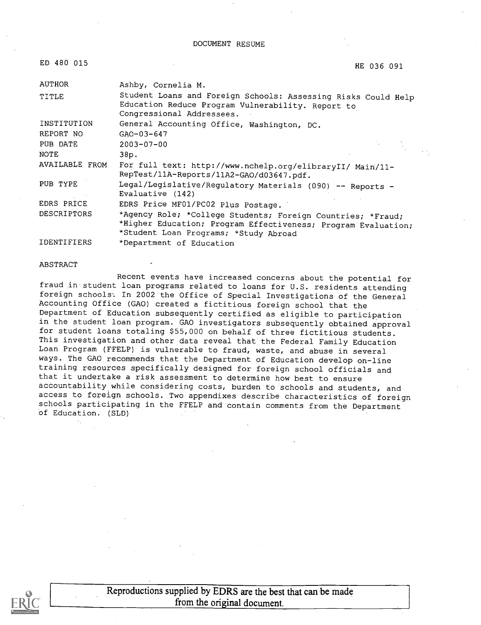| ED 480 015            | HE 036 091                                                                                                                                                            |  |
|-----------------------|-----------------------------------------------------------------------------------------------------------------------------------------------------------------------|--|
| <b>AUTHOR</b>         | Ashby, Cornelia M.                                                                                                                                                    |  |
| TITLE                 | Student Loans and Foreign Schools: Assessing Risks Could Help<br>Education Reduce Program Vulnerability. Report to<br>Congressional Addressees.                       |  |
| INSTITUTION           | General Accounting Office, Washington, DC.                                                                                                                            |  |
| REPORT NO             | $GAO-03-647$                                                                                                                                                          |  |
| PUB DATE              | $2003 - 07 - 00$                                                                                                                                                      |  |
| NOTE                  | 38p.                                                                                                                                                                  |  |
| <b>AVAILABLE FROM</b> | For full text: http://www.nchelp.org/elibraryII/ Main/11-<br>RepTest/11A-Reports/11A2-GAO/d03647.pdf.                                                                 |  |
| PUB TYPE              | Legal/Legislative/Regulatory Materials (090) -- Reports -<br>Evaluative (142)                                                                                         |  |
| EDRS PRICE            | EDRS Price MF01/PC02 Plus Postage.                                                                                                                                    |  |
| <b>DESCRIPTORS</b>    | *Agency Role; *College Students; Foreign Countries; *Fraud;<br>*Higher Education; Program Effectiveness; Program Evaluation;<br>*Student Loan Programs; *Study Abroad |  |
|                       |                                                                                                                                                                       |  |

IDENTIFIERS \*Department of Education

#### ABSTRACT

Recent events have increased concerns about the potential for fraud in student loan programs related to loans for U.S. residents attending foreign schools. In 2002 the Office of Special Investigations of the General Accounting Office (GAO) created a fictitious foreign school that the Department of Education subsequently certified as eligible to participation in the student loan program. GAO investigators subsequently obtained approval for student loans totaling \$55,000 on behalf of three fictitious students. This investigation and other data reveal that the Federal Family Education Loan Program (FFELP) is vulnerable to fraud, waste, and abuse in several ways. The GAO recommends that the Department of Education develop on-line training resources specifically designed for foreign school officials and that it undertake a risk assessment to determine how best to ensure accountability while considering costs, burden to schools and students, and access to foreign schools. Two appendixes describe characteristics of foreign schools participating in the FFELP and contain comments from the Department of Education. (SLD)



Reproductions supplied by EDRS are the best that can be made from the original document.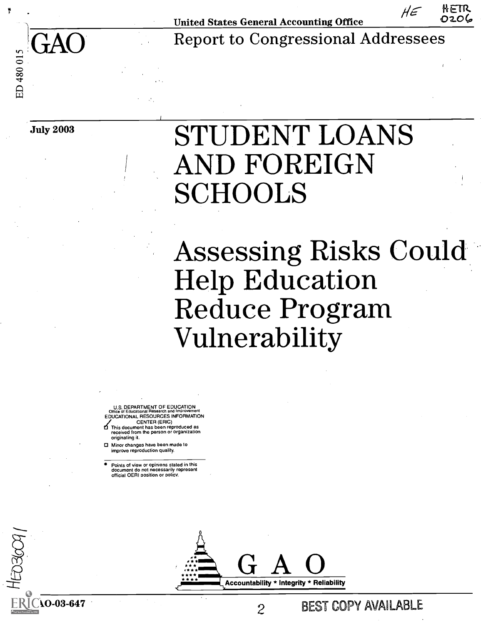

United States General Accounting Office  $H \in \mathbb{R}$  OzO

GAO Report to Congressional Addressees

KOSCOL

# July 2003 STUDENT LOANS AND FOREIGN SCHOOLS

Assessing Risks Could<br>Help Education Reduce Program Vulnerability

U.S. DEPARTMENT OF EDUCATION Office of Educational Research and Improvement EDUCATIONAL RESOURCES INFORMATION

CENTER (ERIC)<br>This document has been reproduced as<br>received from the person or organization originating it.

0 Minor changes have been made to improve reproduction quality.

Points of view or opinions stated in this document do not necessarily represent official OERI oosition or policy.

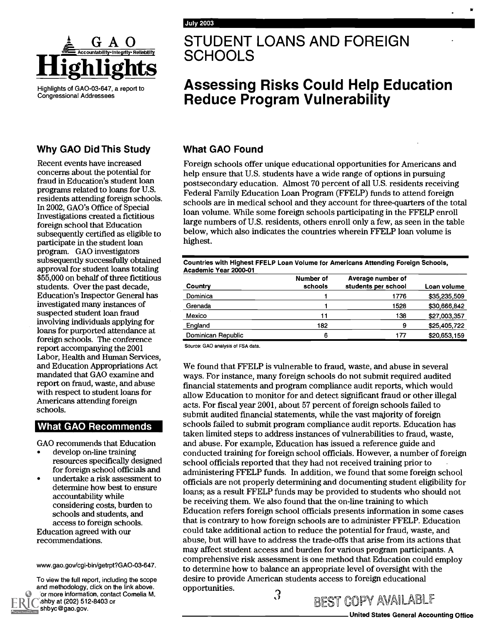

Highlights of GA0-03-647, a report to Congressional Addressees

### Why GAO Did This Study

Recent events have increased concerns about the potential for fraud in Education's student loan programs related to loans for U.S. residents attending foreign schools. In 2002, GAO's Office of Special Investigations created a fictitious foreign school that Education subsequently certified as eligible to participate in the student loan program. GAO investigators subsequently successfully obtained approval for student loans totaling \$55,000 on behalf of three fictitious students. Over the past decade, Education's Inspector General has investigated many instances of suspected student loan fraud involving individuals applying for loans for purported attendance at foreign schools. The conference report accompanying the 2001 Labor, Health and Human Services, and Education Appropriations Act mandated that GAO examine and report on fraud, waste, and abuse with respect to student loans for Americans attending foreign schools.

### **What GAO Recommends**

GAO recommends that Education

- develop on-line training resources specifically designed for foreign school officials and
- undertake a risk assessment to determine how best to ensure accountability while considering costs, burden to schools and students, and access to foreign schools. Education agreed with our recommendations.

www.gao.gov/cgi-bin/getrpt?GA0-03-647.

To view the full report, including the scope and methodology, click on the link above. or more information, contact Cornelia M. Shby at (202) 512-8403 or shbyc@gao.gov.

### A G A O STUDENT LOANS AND FOREIGN<br>Excountability-integrity-reliability SCHOOLS **SCHOOLS**

# Assessing Risks Could Help Education Reduce Program Vulnerability

### What GAO Found

Foreign schools offer unique educational opportunities for Americans and help ensure that U.S. students have a wide range of options in pursuing postsecondary education. Almost 70 percent of all U.S. residents receiving Federal Family Education Loan Program (FFELP) funds to attend foreign schools are in medical school and they account for three-quarters of the total loan volume. While some foreign schools participating in the FFELP enroll large numbers of U.S. residents, others enroll only a few, as seen in the table below, which also indicates the countries wherein FFELP loan volume is highest.

| Countries with Highest FFELP Loan Volume for Americans Attending Foreign Schools,<br>Academic Year 2000-01 |                      |                                          |              |  |
|------------------------------------------------------------------------------------------------------------|----------------------|------------------------------------------|--------------|--|
| Country                                                                                                    | Number of<br>schools | Average number of<br>students per school | Loan volume  |  |
| Dominica                                                                                                   |                      | 1776                                     | \$35,235,509 |  |
| Grenada                                                                                                    |                      | 1528                                     | \$30,666,842 |  |
| Mexico                                                                                                     | 11                   | 138                                      | \$27,003,357 |  |
| England                                                                                                    | 182                  | 9                                        | \$25,405,722 |  |
| Dominican Republic                                                                                         | 6                    | 177                                      | \$20,653,159 |  |

Source: GAO analysis of FSA data.

We found that FFELP is vulnerable to fraud, waste, and abuse in several ways. For instance, many foreign schools do not submit required audited financial statements and program compliance audit reports, which would allow Education to monitor for and detect significant fraud or other illegal acts. For fiscal year 2001, about 57 percent of foreign schools failed to submit audited financial statements, while the vast majority of foreign schools failed to submit program compliance audit reports. Education has taken limited steps to address instances of vulnerabilities to fraud, waste, and abuse. For example, Education has issued a reference guide and conducted training for foreign school officials. However, a number of foreign school officials reported that they had not received training prior to administering FFELP funds. In addition, we found that some foreign school officials are not properly determining and documenting student eligibility for loans; as a result FFELP funds may be provided to students who should not be receiving them. We also found that the on-line training to which Education refers foreign school officials presents information in some cases that is contrary to how foreign schools are to administer FFELP. Education could take additional action to reduce the potential for fraud, waste, and abuse, but will have to address the trade-offs that arise from its actions that may affect student access and burden for various program participants. A comprehensive risk assessment is one method that Education could employ to determine how to balance an appropriate level of oversight with the desire to provide American students access to foreign educational opportunities. 3 GEST COPY AVAILABLE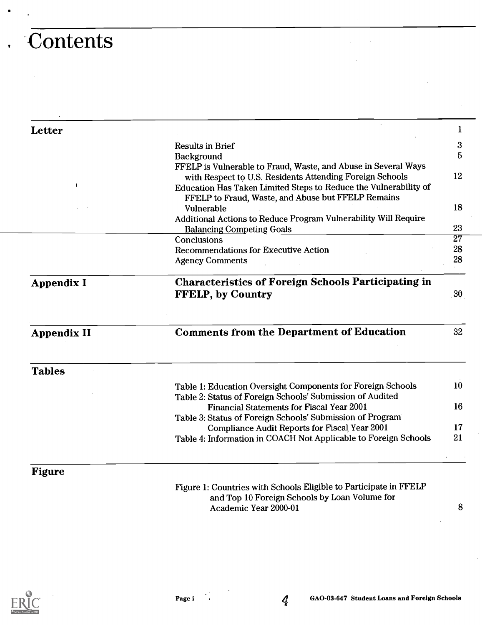# . Contents

| <b>Letter</b>      |                                                                                                                                                                                                | 1               |
|--------------------|------------------------------------------------------------------------------------------------------------------------------------------------------------------------------------------------|-----------------|
|                    | <b>Results in Brief</b>                                                                                                                                                                        | 3               |
|                    | Background                                                                                                                                                                                     | 5               |
|                    | FFELP is Vulnerable to Fraud, Waste, and Abuse in Several Ways<br>with Respect to U.S. Residents Attending Foreign Schools<br>Education Has Taken Limited Steps to Reduce the Vulnerability of | 12              |
|                    | FFELP to Fraud, Waste, and Abuse but FFELP Remains<br>Vulnerable<br>Additional Actions to Reduce Program Vulnerability Will Require                                                            | 18              |
|                    | <b>Balancing Competing Goals</b>                                                                                                                                                               | 23              |
|                    | Conclusions                                                                                                                                                                                    | $\overline{27}$ |
|                    | <b>Recommendations for Executive Action</b>                                                                                                                                                    | 28              |
|                    | <b>Agency Comments</b>                                                                                                                                                                         | 28              |
| Appendix I         | <b>Characteristics of Foreign Schools Participating in</b><br><b>FFELP, by Country</b>                                                                                                         | 30 <sub>1</sub> |
| <b>Appendix II</b> | <b>Comments from the Department of Education</b>                                                                                                                                               | 32              |
| <b>Tables</b>      |                                                                                                                                                                                                |                 |
|                    | Table 1: Education Oversight Components for Foreign Schools<br>Table 2: Status of Foreign Schools' Submission of Audited                                                                       | 10              |
|                    | Financial Statements for Fiscal Year 2001<br>Table 3: Status of Foreign Schools' Submission of Program                                                                                         | 16              |
|                    | Compliance Audit Reports for Fiscal Year 2001                                                                                                                                                  | 17              |
|                    | Table 4: Information in COACH Not Applicable to Foreign Schools                                                                                                                                | 21              |
| Figure             |                                                                                                                                                                                                |                 |
|                    | Figure 1: Countries with Schools Eligible to Participate in FFELP<br>and Top 10 Foreign Schools by Loan Volume for                                                                             |                 |

Academic Year 2000-01

8



 $\boldsymbol{q}$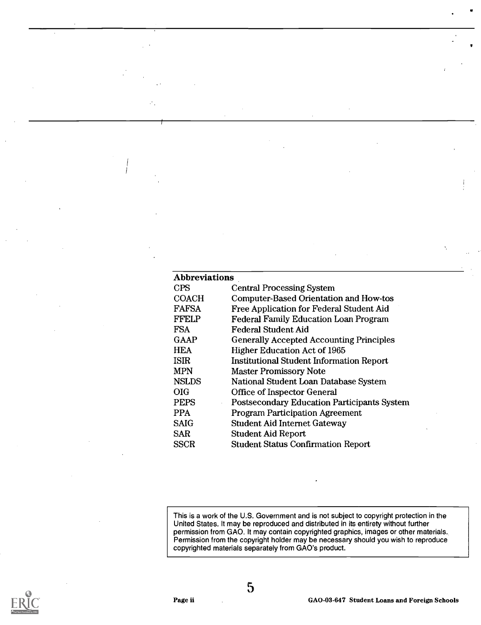| <b>CPS</b><br><b>Central Processing System</b><br>Computer-Based Orientation and How-tos<br><b>COACH</b><br><b>FAFSA</b><br>Free Application for Federal Student Aid<br><b>FFELP</b><br><b>Federal Family Education Loan Program</b><br><b>FSA</b><br>Federal Student Aid<br><b>GAAP</b><br><b>Generally Accepted Accounting Principles</b><br><b>HEA</b><br><b>Higher Education Act of 1965</b><br><b>ISIR</b><br><b>Institutional Student Information Report</b><br><b>MPN</b><br><b>Master Promissory Note</b><br><b>NSLDS</b><br>National Student Loan Database System<br><b>OIG</b><br><b>Office of Inspector General</b><br><b>PEPS</b><br><b>Postsecondary Education Participants System</b><br><b>PPA</b><br><b>Program Participation Agreement</b><br><b>SAIG</b><br><b>Student Aid Internet Gateway</b><br><b>SAR</b><br><b>Student Aid Report</b><br><b>Student Status Confirmation Report</b><br><b>SSCR</b> | <b>Abbreviations</b> |  |
|--------------------------------------------------------------------------------------------------------------------------------------------------------------------------------------------------------------------------------------------------------------------------------------------------------------------------------------------------------------------------------------------------------------------------------------------------------------------------------------------------------------------------------------------------------------------------------------------------------------------------------------------------------------------------------------------------------------------------------------------------------------------------------------------------------------------------------------------------------------------------------------------------------------------------|----------------------|--|
|                                                                                                                                                                                                                                                                                                                                                                                                                                                                                                                                                                                                                                                                                                                                                                                                                                                                                                                          |                      |  |
|                                                                                                                                                                                                                                                                                                                                                                                                                                                                                                                                                                                                                                                                                                                                                                                                                                                                                                                          |                      |  |
|                                                                                                                                                                                                                                                                                                                                                                                                                                                                                                                                                                                                                                                                                                                                                                                                                                                                                                                          |                      |  |
|                                                                                                                                                                                                                                                                                                                                                                                                                                                                                                                                                                                                                                                                                                                                                                                                                                                                                                                          |                      |  |
|                                                                                                                                                                                                                                                                                                                                                                                                                                                                                                                                                                                                                                                                                                                                                                                                                                                                                                                          |                      |  |
|                                                                                                                                                                                                                                                                                                                                                                                                                                                                                                                                                                                                                                                                                                                                                                                                                                                                                                                          |                      |  |
|                                                                                                                                                                                                                                                                                                                                                                                                                                                                                                                                                                                                                                                                                                                                                                                                                                                                                                                          |                      |  |
|                                                                                                                                                                                                                                                                                                                                                                                                                                                                                                                                                                                                                                                                                                                                                                                                                                                                                                                          |                      |  |
|                                                                                                                                                                                                                                                                                                                                                                                                                                                                                                                                                                                                                                                                                                                                                                                                                                                                                                                          |                      |  |
|                                                                                                                                                                                                                                                                                                                                                                                                                                                                                                                                                                                                                                                                                                                                                                                                                                                                                                                          |                      |  |
|                                                                                                                                                                                                                                                                                                                                                                                                                                                                                                                                                                                                                                                                                                                                                                                                                                                                                                                          |                      |  |
|                                                                                                                                                                                                                                                                                                                                                                                                                                                                                                                                                                                                                                                                                                                                                                                                                                                                                                                          |                      |  |
|                                                                                                                                                                                                                                                                                                                                                                                                                                                                                                                                                                                                                                                                                                                                                                                                                                                                                                                          |                      |  |
|                                                                                                                                                                                                                                                                                                                                                                                                                                                                                                                                                                                                                                                                                                                                                                                                                                                                                                                          |                      |  |
|                                                                                                                                                                                                                                                                                                                                                                                                                                                                                                                                                                                                                                                                                                                                                                                                                                                                                                                          |                      |  |
|                                                                                                                                                                                                                                                                                                                                                                                                                                                                                                                                                                                                                                                                                                                                                                                                                                                                                                                          |                      |  |

This is a work of the U.S. Government and is not subject to copyright protection in the United States. It may be reproduced and distributed in its entirety without further permission from GAO. It may contain copyrighted graphics, images or other materials. Permission from the copyright holder may be necessary should you wish to reproduce copyrighted materials separately from GAO's product.



5

GA0-03-647 Student Loans and Foreign Schools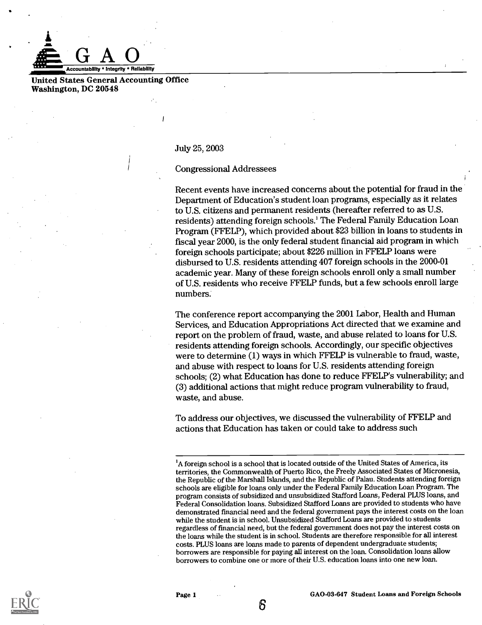

United States General Accounting Office Washington, DC 20548

July 25, 2003

Congressional Addressees

Recent events have increased concerns about the potential for fraud in the Department of Education's student loan programs, especially as it relates to U.S. citizens and permanent residents (hereafter referred to as U.S. residents) attending foreign schools.' The Federal Family Education Loan Program (FFELP), which provided about \$23 billion in loans to students in fiscal year 2000, is the only federal student financial aid program in which foreign schools participate; about \$226 million in FFELP loans were disbursed to U.S. residents attending 407 foreign schools in the 2000-01 academic year. Many of these foreign schools enroll only a small number of U.S. residents who receive FFELP funds, but a few schools enroll large numbers.

The conference report accompanying the 2001 Labor, Health and Human Services, and Education Appropriations Act directed that we examine and report on the problem of fraud, waste, and abuse related to loans for U.S. residents attending foreign schools. Accordingly, our specific objectives were to determine (1) ways in which FFELP is vulnerable to fraud, waste, and abuse with respect to loans for U.S. residents attending foreign schools; (2) what Education has done to reduce FFELP's vulnerability; and (3) additional actions that might reduce program vulnerability to fraud, waste, and abuse.

To address our objectives, we discussed the vulnerability of FFELP and actions that Education has taken or could take to address such



Page 1 GA0-03-647 Student Loans and Foreign Schools

<sup>&</sup>lt;sup>1</sup>A foreign school is a school that is located outside of the United States of America, its territories, the Commonwealth of Puerto Rico, the Freely Associated States of Micronesia, the Republic of the Marshall Islands, and the Republic of Palau. Students attending foreign schools are eligible for loans only under the Federal Family Education Loan Program. The program consists of subsidized and unsubsidized Stafford Loans, Federal PLUS loans, and Federal Consolidation loans. Subsidized Stafford Loans are provided to students who have demonstrated financial need and the federal government pays the interest costs on the loan while the student is in school. Unsubsidized Stafford Loans are provided to students regardless of financial need, but the federal government does not pay the interest costs on the loans while the student is in school. Students are therefore responsible for all interest costs. PLUS loans are loans made to parents of dependent undergraduate students; borrowers are responsible for paying all interest on the loan. Consolidation loans allow borrowers to combine one or more of their U.S. education loans into one new loan.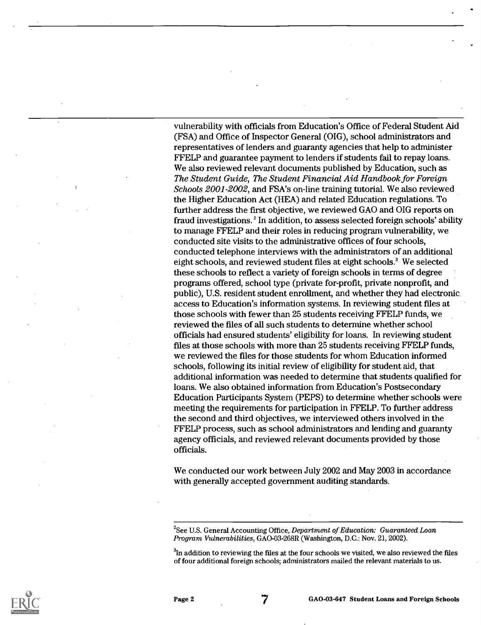vulnerability with officials from Education's Office of Federal Student Aid (FSA) and Office of Inspector General (OIG), school administrators and representatives of lenders and guaranty agencies that help to administer FFELP and guarantee payment to lenders if students fail to repay loans. We also reviewed relevant documents published by Education, such as The Student Guide, The Student Financial Aid Handbook for Foreign Schools 2001-2002, and FSA's on-line training tutorial. We also reviewed the Higher Education Act (HEA) and related Education regulations. To further address the first objective, we reviewed GAO and OIG reports on fraud investigations.' In addition, to assess selected foreign schools' ability to manage FFELP and their roles in reducing program vulnerability, we conducted site visits to the administrative offices of four schools, conducted telephone interviews with the administrators of an additional eight schools, and reviewed student files at eight schools.' We selected these schools to reflect a variety of foreign schools in terms of degree programs offered, school type (private for-profit, private nonprofit, and public), U.S. resident student enrollment, and whether they had electronic access to Education's information systems. In reviewing student files at those schools with fewer than 25 students receiving FFELP funds, we reviewed the files of all such students to determine whether school officials had ensured students' eligibility for loans. In reviewing student files at those schools with more than 25 students receiving FFELP funds, we reviewed the files for those students for whom Education informed schools, following its initial review of eligibility for student aid, that additional information was needed to determine that students qualified for loans. We also obtained information from Education's Postsecondary Education Participants System (PEPS) to determine whether schools were meeting the requirements for participation in FFELP. To further address the second and third objectives, we interviewed others involved in the FFELP process, such as school administrators and lending and guaranty agency officials, and reviewed relevant documents provided by those officials.

We conducted our work between July 2002 and May 2003 in accordance with generally accepted government auditing standards.



<sup>&</sup>lt;sup>2</sup>See U.S. General Accounting Office, Department of Education: Guaranteed Loan Program Vulnerabilities, GAO-03-268R (Washington, D.C.: Nov. 21, 2002).

 ${}^{3}$ In addition to reviewing the files at the four schools we visited, we also reviewed the files of four additional foreign schools; administrators mailed the relevant materials to us.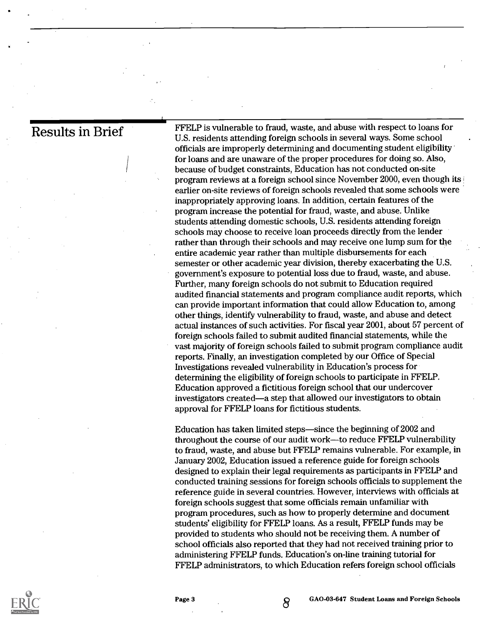Results in Brief FFELP is vulnerable to fraud, waste, and abuse with respect to loans for U.S. residents attending foreign schools in several ways. Some school officials are improperly determining and documenting student eligibility for loans and are unaware of the proper procedures for doing so. Also, because of budget constraints, Education has not conducted on-site program reviews at a foreign school since November 2000, even though itsi earlier on-site reviews of foreign schools revealed that some schools were inappropriately approving loans. In addition, certain features of the program increase the potential for fraud, waste, and abuse. Unlike students attending domestic schools, U.S. residents attending foreign schools may choose to receive loan proceeds directly from the lender rather than through their schools and may receive one lump sum for the entire academic year rather than multiple disbursements for each semester or other academic year division, thereby exacerbating the U.S. government's exposure to potential loss due to fraud, waste, and abuse. Further, many foreign schools do not submit to Education required audited financial statements and program compliance audit reports, which can provide important information that could allow Education to, among other things, identify vulnerability to fraud, waste, and abuse and detect actual instances of such activities. For fiscal year 2001, about 57 percent of foreign schools failed to submit audited financial statements, while the vast majority of foreign schools failed to submit program compliance audit reports. Finally, an investigation completed by our Office of Special Investigations revealed vulnerability in Education's process for determining the eligibility of foreign schools to participate in FFELP. Education approved a fictitious foreign school that our undercover investigators created—a step that allowed our investigators to obtain approval for FFELP loans for fictitious students.

> Education has taken limited steps-since the beginning of 2002 and throughout the course of our audit work-to reduce FFELP vulnerability to fraud, waste, and abuse but FFELP remains vulnerable. For example, in January 2002, Education issued a reference guide for foreign schools designed to explain their legal requirements as participants in FFELP and conducted training sessions for foreign schools officials to supplement the reference guide in several countries. However, interviews with officials at foreign schools suggest that some officials remain unfamiliar with program procedures, such as how to properly determine and document students' eligibility for FFELP loans. As a result, FFELP funds may be provided to students who should not be receiving them. A number of school officials also reported that they had not received training prior to administering FFELP funds. Education's on-line training tutorial for FFELP administrators, to which Education refers foreign school officials



Page 3 GAO-03-647 Student Loans and Foreign Schools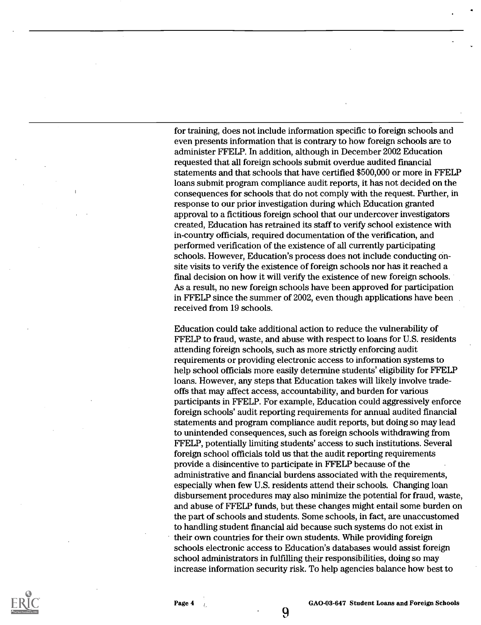for training, does not include information specific to foreign schools and even presents information that is contrary to how foreign schools are to administer FFELP. In addition, although in December 2002 Education requested that all foreign schools submit overdue audited fmancial statements and that schools that have certified \$500,000 or more in FFELP loans submit program compliance audit reports, it has not decided on the consequences for schools that do not comply with the request. Further, in response to our prior investigation during which Education granted approval to a fictitious foreign school that our undercover investigators created, Education has retrained its staff to verify school existence with in-country officials, required documentation of the verification, and performed verification of the existence of all currently participating schools. However, Education's process does not include conducting onsite visits to verify the existence of foreign schools nor has it reached a final decision on how it will verify the existence of new foreign schools. As a result, no new foreign schools have been approved for participation in FFELP since the summer of 2002, even though applications have been received from 19 schools.

Education could take additional action to reduce the vulnerability of FFELP to fraud, waste, and abuse with respect to loans for U.S. residents attending foreign schools, such as more strictly enforcing audit requirements or providing electronic access to information systems to help school officials more easily determine students' eligibility for FFELP loans. However, any steps that Education takes will likely involve tradeoffs that may affect access, accountability, and burden for various participants in FFELP. For example, Education could aggressively enforce foreign schools' audit reporting requirements for annual audited financial statements and program compliance audit reports, but doing so may lead to unintended consequences, such as foreign schools withdrawing from FFELP, potentially limiting students' access to such institutions. Several foreign school officials told us that the audit reporting requirements provide a disincentive to participate in FFELP because of the administrative and fmancial burdens associated with the requirements, especially when few U.S. residents attend their schools. Changing loan disbursement procedures may also minimize the potential for fraud, waste, and abuse of FFELP funds, but these changes might entail some burden on the part of schools and students. Some schools, in fact, are unaccustomed to handling student financial aid because such systems do not exist in their own countries for their own students. While providing foreign schools electronic access to Education's databases would assist foreign school administrators in fulfilling their responsibilities, doing so may increase information security risk. To help agencies balance how best to

9

Page 4 GA0-03-647 Student Loans and Foreign Schools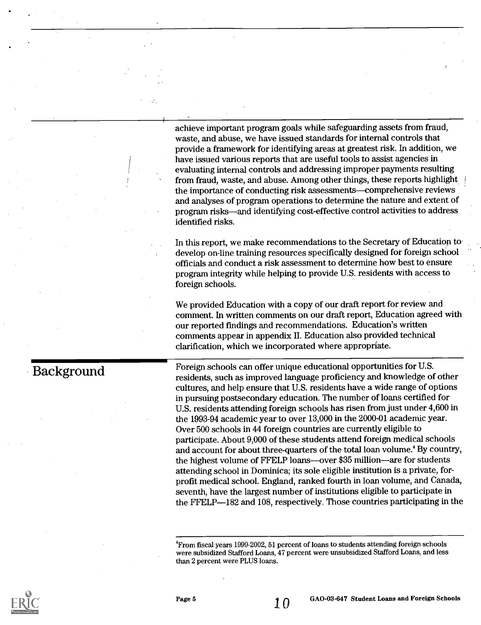achieve important program goals while safeguarding assets from fraud, waste, and abuse, we have issued standards for internal controls that provide a framework for identifying areas at greatest risk. In addition, we have issued various reports that are useful tools to assist agencies in evaluating internal controls and addressing improper payments resulting from fraud, waste, and abuse. Among other things, these reports highlight <sup>1</sup> the importance of conducting risk assessments-comprehensive reviews and analyses of program operations to determine the nature and extent of program risks-and identifying cost-effective control activities to address identified risks.

In this report, we make recommendations to the Secretary of Education to develop on-line training resources specifically designed for foreign school officials and conduct a risk assessment to determine how best to ensure program integrity while helping to provide U.S. residents with access to foreign schools.

We provided Education with a copy of our draft report for review and comment. In written comments on our draft report, Education agreed with our reported fmdings and recommendations. Education's written comments appear in appendix II. Education also provided technical clarification, which we incorporated where appropriate.

### Background

Foreign schools can offer unique educational opportunities for U.S. residents, such as improved language proficiency and knowledge of other cultures, and help ensure that U.S. residents have a wide range of options in pursuing postsecondary education. The number of loans certified for U.S. residents attending foreign schools has risen from just under 4,600 in the 1993-94 academic year to over 13,000 in the 2000-01 academic year. Over 500 schools in 44 foreign countries are currently eligible to participate. About 9,000 of these students attend foreign medical schools and account for about three-quarters of the total loan volume.' By country, the highest volume of FFELP loans—over \$35 million—are for students attending school in Dominica; its sole eligible institution is a private, forprofit medical school. England, ranked fourth in loan volume, and Canada, seventh, have the largest number of institutions eligible to participate in the FFELP-182 and 108, respectively. Those countries participating in the



<sup>4</sup>From fiscal years 1999-2002, 51 percent of loans to students attending foreign schools were subsidized Stafford Loans, 47 percent were unsubsidized Stafford Loans, and less than 2 percent were PLUS loans.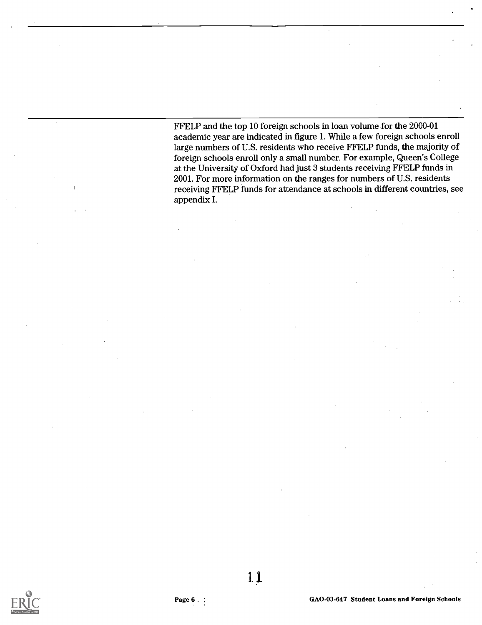FFELP and the top 10 foreign schools in loan volume for the 2000-01 academic year are indicated in figure 1. While a few foreign schools enroll large numbers of U.S. residents who receive FFELP funds, the majority of foreign schools enroll only a small number. For example, Queen's College at the University of Oxford had just 3 students receiving FFELP funds in 2001. For more information on the ranges for numbers of U.S. residents receiving FFELP funds for attendance at schools in different countries, see appendix I.

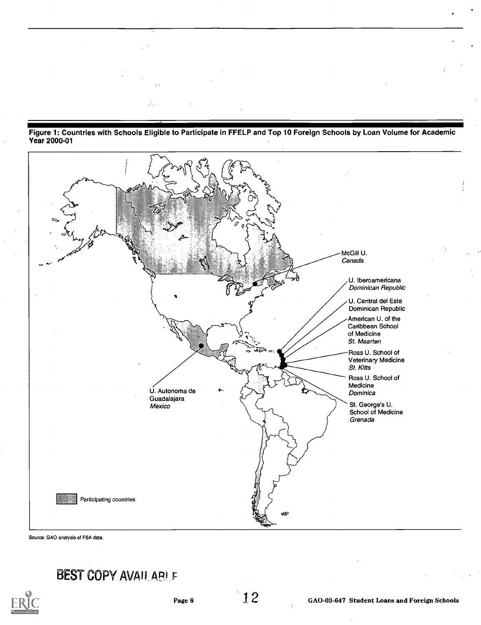



Source: GAO analysis of FSA data.

### BEST COPY AVAILABLE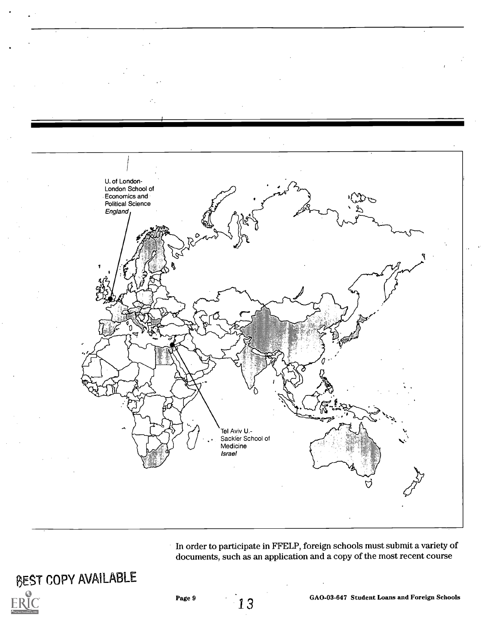

In order to participate in FFELP, foreign schools must submit a variety of documents, such as an application and a copy of the most recent course



1 3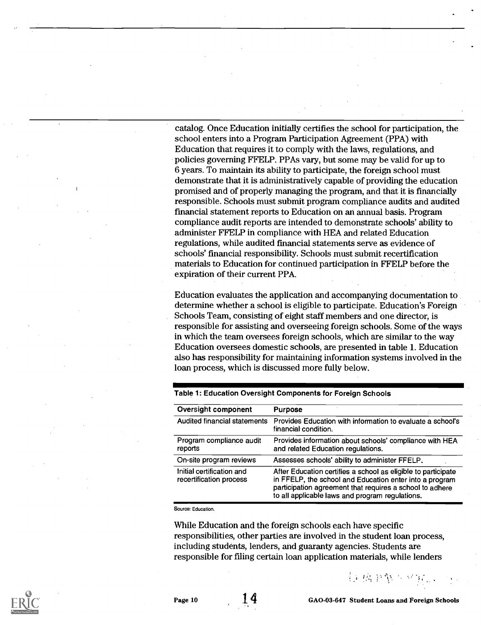catalog. Once Education initially certifies the school for participation, the school enters into a Program Participation Agreement (PPA) with Education that requires it to comply with the laws, regulations, and policies governing FFELP. PPAs vary, but some may be valid for up to 6 years. To maintain its ability to participate, the foreign school must demonstrate that it is administratively capable of providing the education promised and of properly managing the program, and that it is financially responsible. Schools must submit program compliance audits and audited fmancial statement reports to Education on an annual basis. Program compliance audit reports are intended to demonstrate schools' ability to administer FFELP in compliance with HEA and related Education regulations, while audited fmancial statements serve as evidence of schools' financial responsibility. Schools must submit recertification materials to Education for continued participation in FFELP before the expiration of their current PPA.

Education evaluates the application and accompanying documentation to determine whether a school is eligible to participate. Education's Foreign Schools Team, consisting of eight staff members and one director, is responsible for assisting and overseeing foreign schools. Some of the ways in which the team oversees foreign schools, which are similar to the way Education oversees domestic schools, are presented in table 1. Education also has responsibility for maintaining information systems involved in the loan process, which is discussed more fully below.

| Oversight component                                  | <b>Purpose</b>                                                                                                                                                                                                                          |
|------------------------------------------------------|-----------------------------------------------------------------------------------------------------------------------------------------------------------------------------------------------------------------------------------------|
| Audited financial statements                         | Provides Education with information to evaluate a school's<br>financial condition.                                                                                                                                                      |
| Program compliance audit<br>reports                  | Provides information about schools' compliance with HEA<br>and related Education regulations.                                                                                                                                           |
| On-site program reviews                              | Assesses schools' ability to administer FFELP.                                                                                                                                                                                          |
| Initial certification and<br>recertification process | After Education certifies a school as eligible to participate<br>in FFELP, the school and Education enter into a program<br>participation agreement that requires a school to adhere<br>to all applicable laws and program regulations. |

Table 1: Education Oversight Components for Foreign Schools

Source: Education.

While Education and the foreign schools each have specific responsibilities, other parties are involved in the student loan process, including students, lenders, and guaranty agencies. Students are responsible for filing certain loan application materials, while lenders



Page 10 1.4 GAO-03-647 Student Loans and Foreign Schools

科格里斯人从抗议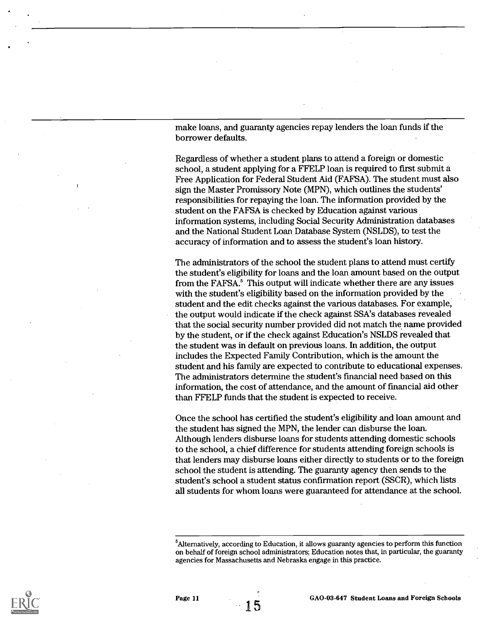make loans, and guaranty agencies repay lenders the loan funds if the borrower defaults.

Regardless of whether a student plans to attend a foreign or domestic school, a student applying for a FFELP loan is required to first submit a Free Application for Federal Student Aid (FAFSA). The student must also sign the Master Promissory Note (MPN), which outlines the students' responsibilities for repaying the loan. The information provided by the student on the FAFSA is checked by Education against various information systems, including Social Security Administration databases and the National Student Loan Database System (NSLDS), to test the accuracy of information and to assess the student's loan history.

The administrators of the school the student plans to attend must certify the student's eligibility for loans and the loan amount based on the output from the FAFSA.<sup>5</sup> This output will indicate whether there are any issues with the student's eligibility based on the information provided by the student and the edit checks against the various databases. For example, the output would indicate if the check against SSA's databases revealed that the social security number provided did not match the name provided by the student, or if the check against Education's NSLDS revealed that the student was in default on previous loans. In addition, the output includes the Expected Family Contribution, which is the amount the student and his family are expected to contribute to educational expenses. The administrators determine the student's fmancial need based on this information, the cost of attendance, and the amount of fmancial aid other than FFELP funds that the student is expected to receive.

Once the school has certified the student's eligibility and loan amount and the student has signed the MPN, the lender can disburse the loan. Although lenders disburse loans for students attending domestic schools to the school, a chief difference for students attending foreign schools is that lenders may disburse loans either directly to students or to the foreign school the student is attending. The guaranty agency then sends to the student's school a student status confirmation report (SSCR), which lists all students for whom loans were guaranteed for attendance at the school.



GA0-03-647 Student Loans and Foreign Schools

<sup>&</sup>lt;sup>5</sup>Alternatively, according to Education, it allows guaranty agencies to perform this function on behalf of foreign school administrators; Education notes that, in particular, the guaranty agencies for Massachusetts and Nebraska engage in this practice.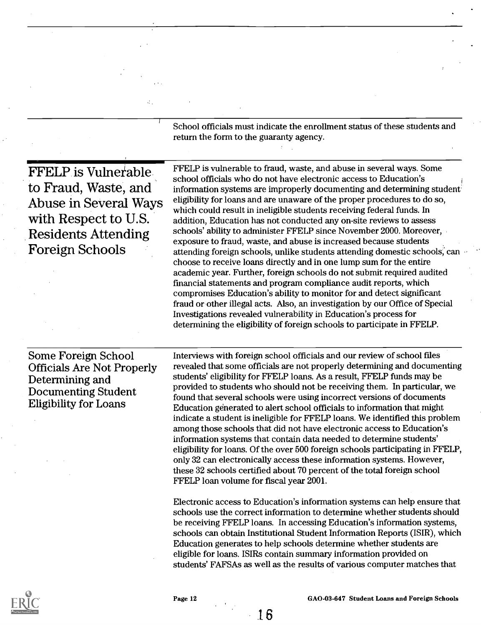|                                                                                                                                                      | School officials must indicate the enrollment status of these students and<br>return the form to the guaranty agency.                                                                                                                                                                                                                                                                                                                                                                                                                                                                                                                                                                                                                                                                                                                                                                                                                                                                                                                                                                                                                                                                                                                                                                                                                                                                                                                                                                                                     |
|------------------------------------------------------------------------------------------------------------------------------------------------------|---------------------------------------------------------------------------------------------------------------------------------------------------------------------------------------------------------------------------------------------------------------------------------------------------------------------------------------------------------------------------------------------------------------------------------------------------------------------------------------------------------------------------------------------------------------------------------------------------------------------------------------------------------------------------------------------------------------------------------------------------------------------------------------------------------------------------------------------------------------------------------------------------------------------------------------------------------------------------------------------------------------------------------------------------------------------------------------------------------------------------------------------------------------------------------------------------------------------------------------------------------------------------------------------------------------------------------------------------------------------------------------------------------------------------------------------------------------------------------------------------------------------------|
| <b>FFELP</b> is Vulnerable<br>to Fraud, Waste, and<br>Abuse in Several Ways<br>with Respect to U.S.<br><b>Residents Attending</b><br>Foreign Schools | FFELP is vulnerable to fraud, waste, and abuse in several ways. Some<br>school officials who do not have electronic access to Education's<br>information systems are improperly documenting and determining student<br>eligibility for loans and are unaware of the proper procedures to do so,<br>which could result in ineligible students receiving federal funds. In<br>addition, Education has not conducted any on-site reviews to assess<br>schools' ability to administer FFELP since November 2000. Moreover,<br>exposure to fraud, waste, and abuse is increased because students<br>attending foreign schools, unlike students attending domestic schools, can<br>choose to receive loans directly and in one lump sum for the entire<br>academic year. Further, foreign schools do not submit required audited<br>financial statements and program compliance audit reports, which<br>compromises Education's ability to monitor for and detect significant<br>fraud or other illegal acts. Also, an investigation by our Office of Special<br>Investigations revealed vulnerability in Education's process for<br>determining the eligibility of foreign schools to participate in FFELP.                                                                                                                                                                                                                                                                                                                    |
| Some Foreign School<br><b>Officials Are Not Properly</b><br>Determining and<br><b>Documenting Student</b><br><b>Eligibility for Loans</b>            | Interviews with foreign school officials and our review of school files<br>revealed that some officials are not properly determining and documenting<br>students' eligibility for FFELP loans. As a result, FFELP funds may be<br>provided to students who should not be receiving them. In particular, we<br>found that several schools were using incorrect versions of documents<br>Education generated to alert school officials to information that might<br>indicate a student is ineligible for FFELP loans. We identified this problem<br>among those schools that did not have electronic access to Education's<br>information systems that contain data needed to determine students'<br>eligibility for loans. Of the over 500 foreign schools participating in FFELP,<br>only 32 can electronically access these information systems. However,<br>these 32 schools certified about 70 percent of the total foreign school<br>FFELP loan volume for fiscal year 2001.<br>Electronic access to Education's information systems can help ensure that<br>schools use the correct information to determine whether students should<br>be receiving FFELP loans. In accessing Education's information systems,<br>schools can obtain Institutional Student Information Reports (ISIR), which<br>Education generates to help schools determine whether students are<br>eligible for loans. ISIRs contain summary information provided on<br>students' FAFSAs as well as the results of various computer matches that |

1 6



 $\mathcal{L}_\alpha$ 

Page 12 GAO-03-647 Student Loans and Foreign Schools<br>
1. The Case of the Case of the Case of the Case of the Case of the Case of the Case of the Case of the Case of the Case of the Case of the Case of the Case of the Case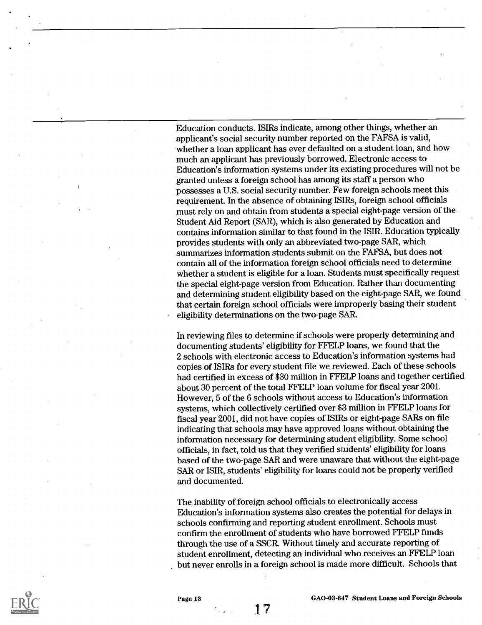Education conducts. ISIRs indicate, among other things, whether an applicant's social security number reported on the FAFSA is valid, whether a loan applicant has ever defaulted on a student loan, and how much an applicant has previously borrowed. Electronic access to Education's information systems under its existing procedures will not be granted unless a foreign school has among its staff a person who possesses a U.S. social security number. Few foreign schools meet this requirement. In the absence of obtaining ISIRs, foreign school officials must rely on and obtain from students a special eight-page version of the Student Aid Report (SAR), which is also generated by Education and contains information similar to that found in the ISIR. Education typically provides students with only an abbreviated two-page SAR, which summarizes information students submit on the FAFSA, but does not contain all of the information foreign school officials need to determine whether a student is eligible for a loan. Students must specifically request the special eight-page version from Education. Rather than documenting and determining student eligibility based on the eight-page SAR, we found that certain foreign school officials were improperly basing their student eligibility determinations on the two-page SAR.

In reviewing files to determine if schools were properly determining and documenting students' eligibility for FFELP loans, we found that the 2 schools with electronic access to Education's information systems had copies of ISIRs for every student file we reviewed. Each of these schools had certified in excess of \$30 million in FFELP loans and together certified about 30 percent of the total FFELP loan volume for fiscal year 2001. However, 5 of the 6 schools without access to Education's information systems, which collectively certified over \$3 million in FFELP loans for fiscal year 2001, did not have copies of ISIRs or eight-page SARs on file indicating that schools may have approved loans without obtaining the information necessary for determining student eligibility. Some school officials, in fact, told us that they verified students' eligibility for loans based of the two-page SAR and were unaware that without the eight-page SAR or ISIR, students' eligibility for loans could not be properly verified and documented.

The inability of foreign school officials to electronically access Education's information systems also creates the potential for delays in schools confirming and reporting student enrollment. Schools must confirm the enrollment of students who have borrowed FFELP funds through the use of a SSCR. Without timely and accurate reporting of student enrollment, detecting an individual who receives an FFELP loan but never enrolls in a foreign school is made more difficult. Schools that

1 7



Page 13 GAO-03-647 Student Loans and Foreign Schools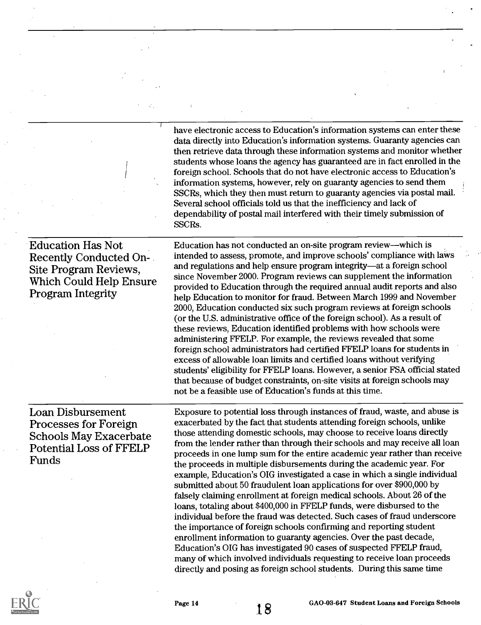have electronic access to Education's information systems can enter these data directly into Education's information systems. Guaranty agencies can then retrieve data through these information systems and monitor whether students whose loans the agency has guaranteed are in fact enrolled in the foreign school. Schools that do not have electronic access to Education's information systems, however, rely on guaranty agencies to send them SSCRs, which they then must return to guaranty agencies via postal mail. Several school officials told us that the inefficiency and lack of dependability of postal mail interfered with their timely submission of SSCRs.

Education Has Not Recently Conducted On-Site Program Reviews, Which Could Help Ensure Program Integrity

Education has not conducted an on-site program review—which is intended to assess, promote, and improve schools' compliance with laws and regulations and help ensure program integrity—at a foreign school since November 2000. Program reviews can supplement the information provided to Education through the required annual audit reports and also help Education to monitor for fraud. Between March 1999 and November 2000, Education conducted six such program reviews at foreign schools (or the U.S. administrative office of the foreign school). As a result of these reviews, Education identified problems with how schools were administering FFELP. For example, the reviews revealed that some foreign school administrators had certified FFELP loans for students in excess of allowable loan limits and certified loans without verifying students' eligibility for FFELP loans. However, a senior FSA official stated that because of budget constraints, on-site visits at foreign schools may not be a feasible use of Education's funds at this time.

Loan Disbursement Processes for Foreign Schools May Exacerbate Potential Loss of FFELP Funds

Exposure to potential loss through instances of fraud, waste, and abuse is exacerbated by the fact that students attending foreign schools, unlike those attending domestic schools, may choose to receive loans directly from the lender rather than through their schools and may receive all loan proceeds in one lump sum for the entire academic year rather than receive the proceeds in multiple disbursements during the academic year. For example, Education's OIG investigated a case in which a single individual submitted about 50 fraudulent loan applications for over \$900,000 by falsely claiming enrollment at foreign medical schools. About 26 of the loans, totaling about \$400,000 in FFELP funds, were disbursed to the individual before the fraud was detected. Such cases of fraud underscore the importance of foreign schools confirming and reporting student enrollment information to guaranty agencies. Over the past decade, Education's OIG has investigated 90 cases of suspected FFELP fraud, many of which involved individuals requesting to receive loan proceeds directly and posing as foreign school students. During this same time

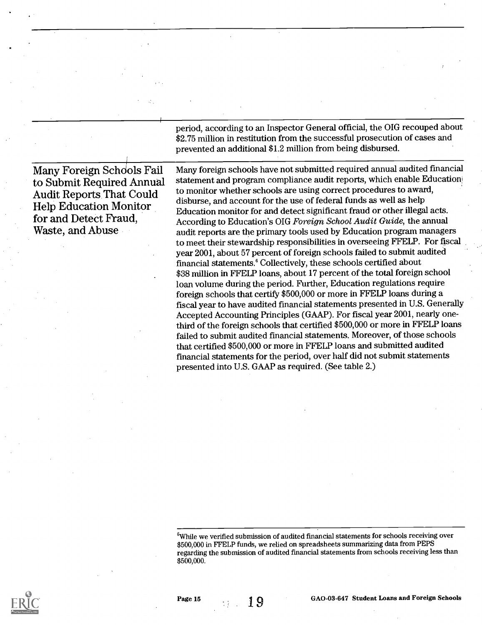period, according to an Inspector General official, the OIG recouped about \$2.75 million in restitution from the successful prosecution of cases and prevented an additional \$1.2 million from being disbursed.

Many Foreign Schdols Fail to Submit Required Annual Audit Reports That Could Help Education Monitor for and Detect Fraud, Waste, and Abuse

Many foreign schools have not submitted required annual audited fmancial statement and program compliance audit reports, which enable Education to monitor whether schools are using correct procedures to award, disburse, and account for the use of federal funds as well as help Education monitor for and detect significant fraud or other illegal acts. According to Education's OIG Foreign School Audit Guide, the annual audit reports are the primary tools used by Education program managers to meet their stewardship responsibilities in overseeing FFELP. For fiscal year 2001, about 57 percent of foreign schools failed to submit audited fmancial statements.' Collectively, these schools certified about \$38 million in FFELP loans, about 17 percent of the total foreign school loan volume during the period. Further, Education regulations require foreign schools that certify \$500,000 or more in FFELP loans during a fiscal year to have audited fmancial statements presented in U.S. Generally Accepted Accounting Principles (GAAP). For fiscal year 2001, nearly onethird of the foreign schools that certified \$500,000 or more in FFELP loans failed to submit audited fmancial statements. Moreover, of those schools that certified \$500,000 or more in FFELP loans and submitted audited fmancial statements for the period, over half did not submit statements presented into U.S. GAAP as required. (See table 2.)

 $6$ While we verified submission of audited financial statements for schools receiving over \$500,000 in FFELP funds, we relied on spreadsheets summarizing data from PEPS regarding the submission of audited fmancial statements from schools receiving less than \$500,000.

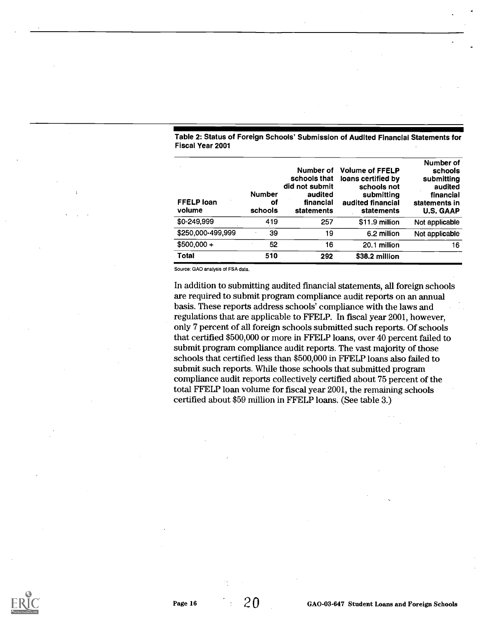|                         | Table 2: Status of Foreign Schools' Submission of Audited Financial Statements for |
|-------------------------|------------------------------------------------------------------------------------|
| <b>Fiscal Year 2001</b> |                                                                                    |

| <b>FFELP loan</b><br>volume | <b>Number</b><br>οi<br>schools | schools that<br>did not submit<br>audited<br>financial<br>statements | Number of Volume of FFELP<br>loans certified by<br>schools not<br>submitting<br>audited financial<br>statements | Number of<br>schools<br>submitting<br>audited<br>financial<br>statements in<br><b>U.S. GAAP</b> |
|-----------------------------|--------------------------------|----------------------------------------------------------------------|-----------------------------------------------------------------------------------------------------------------|-------------------------------------------------------------------------------------------------|
| \$0-249.999                 | 419                            | 257                                                                  | \$11.9 million                                                                                                  | Not applicable                                                                                  |
| \$250,000-499,999           | 39                             | 19                                                                   | 6.2 million                                                                                                     | Not applicable                                                                                  |
| $$500,000 +$                | 52                             | 16                                                                   | 20.1 million                                                                                                    | 16                                                                                              |
| <b>Total</b>                | 510                            | 292                                                                  | \$38.2 million                                                                                                  |                                                                                                 |

Source: GAO analysis of FSA data.

In addition to submitting audited fmancial statements, all foreign schools are required to submit program compliance audit reports on an annual basis. These reports address schools' compliance with the laws and regulations that are applicable to FFELP. In fiscal year 2001, however, only 7 percent of all foreign schools submitted such reports. Of schools that certified \$500,000 or more in FF'ELP loans, over 40 percent failed to submit program compliance audit reports. The vast majority of those schools that certified less than \$500,000 in FFELP loans also failed to submit such reports. While those schools that submitted program compliance audit reports collectively certified about 75 percent of the total FFELP loan volume for fiscal year 2001, the remaining schools certified about \$59 million in FFELP loans. (See table 3.)

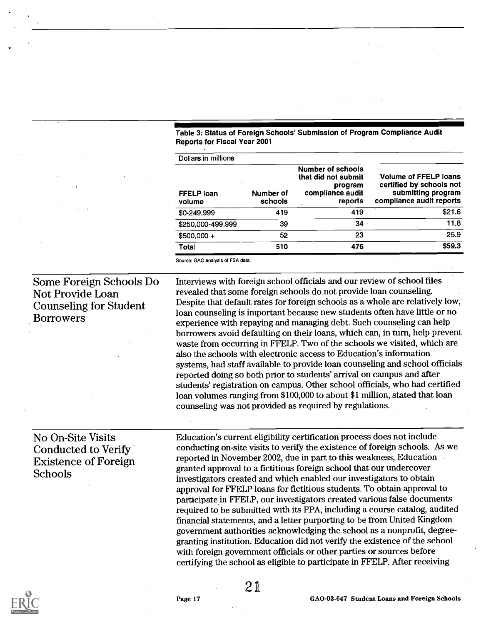Table 3: Status of Foreign Schools' Submission of Program Compliance Audit Reports for Fiscal Year 2001

| Dollars in millions         |                      |                                                                                    |                                                                                                            |
|-----------------------------|----------------------|------------------------------------------------------------------------------------|------------------------------------------------------------------------------------------------------------|
| <b>FFELP loan</b><br>volume | Number of<br>schools | Number of schools<br>that did not submit<br>program<br>compliance audit<br>reports | <b>Volume of FFELP loans</b><br>certified by schools not<br>submitting program<br>compliance audit reports |
| \$0-249,999                 | 419                  | 419                                                                                | \$21.6                                                                                                     |
| \$250,000-499,999           | 39                   | 34                                                                                 | 11.8                                                                                                       |
| \$500,000 +                 | 52                   | 23                                                                                 | 25.9                                                                                                       |
| Total                       | 510                  | 476                                                                                | \$59.3                                                                                                     |

Source: GAO analysis of FSA data.

Some Foreign Schools Do Not Provide Loan Counseling for Student Borrowers

No On-Site Visits Conducted to Verify Existence of Foreign

Schools

Interviews with foreign school officials and our review of school ffles revealed that some foreign schools do not provide loan counseling. Despite that default rates for foreign schools as a whole are relatively low, loan counseling is important because new students often have little or no experience with repaying and managing debt. Such counseling can help borrowers avoid defaulting on their loans, which can, in turn, help prevent waste from occurring in FFELP. Two of the schools we visited, which are also the schools with electronic access to Education's information systems, had staff available to provide loan counseling and school officials reported doing so both prior to students' arrival on campus and after students' registration on campus. Other school officials, who had certified loan volumes ranging from \$100,000 to about \$1 million, stated that loan counseling was not provided as required by regulations.

Education's current eligibility certification process does not include conducting on-site visits to verify the existence of foreign schools. As we reported in November 2002, due in part to this weakness, Education granted approval to a fictitious foreign school that our undercover investigators created and which enabled our investigators to obtain approval for FFELP loans for fictitious students. To obtain approval to participate in FFELP, our investigators created various false documents required to be submitted with its PPA, including a course catalog, audited fmancial statements, and a letter purporting to be from United Kingdom government authorities acknowledging the school as a nonprofit, degreegranting institution. Education did not verify the existence of the school with foreign government officials or other parties or sources before certifying the school as eligible to participate in FFELP. After receiving



21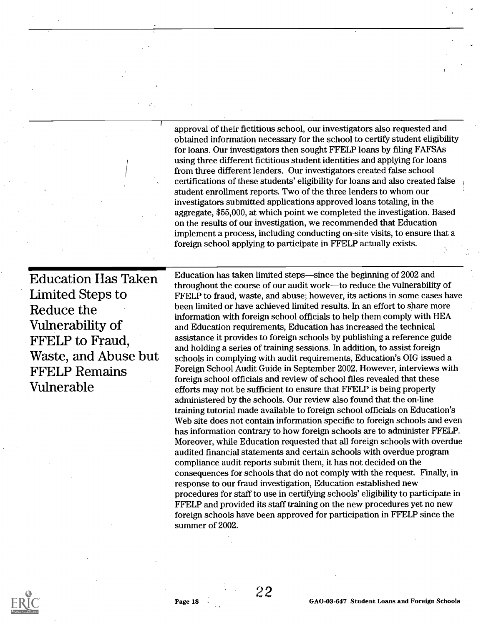approval of their fictitious school, our investigators also requested and obtained information necessary for the school to certify student eligthility for loans. Our investigators then sought FFELP loans by filing FAFSAs using three different fictitious student identities and applying for loans from three different lenders. Our investigators created false school certifications of these students' eligibility for loans and also created false student enrollment reports. Two of the three lenders to whom our investigators submitted applications approved loans totaling, in the aggregate, \$55,000, at which point we completed the investigation. Based on the results of our investigation, we recommended that Education implement a process, including conducting on-site visits, to ensure that a foreign school applying to participate in FFELP actually exists.

Education Has Taken Limited Steps to Reduce the Vulnerability of FFELP to Fraud, Waste, and Abuse but FFELP Remains Vulnerable

Education has taken limited steps—since the beginning of 2002 and throughout the course of our audit work-to reduce the vulnerability of FFELP to fraud, waste, and abuse; however, its actions in some cases have been limited or have achieved limited results. In an effort to share more information with foreign school officials to help them comply with HEA and Education requirements, Education has increased the technical assistance it provides to foreign schools by publishing a reference guide and holding a series of training sessions. In addition, to assist foreign schools in complying with audit requirements, Education's OIG issued a Foreign School Audit Guide in September 2002. However, interviews with foreign school officials and review of school files revealed that these efforts may not be sufficient to ensure that FFELP is being properly administered by the schools. Our review also found that the on-line training tutorial made available to foreign school officials on Education's Web site does not contain information specific to foreign schools and even has information contrary to how foreign schools are to administer FFELP. Moreover, while Education requested that all foreign schools with overdue audited financial statements and certain schools with overdue program compliance audit reports submit them, it has not decided on the consequences for schools that do not comply with the request. Finally, in response to our fraud investigation, Education established new procedures for staff to use in certifying schools' eligibility to participate in FFELP and provided its staff training on the new procedures yet no new foreign schools have been approved for participation in FFELP since the summer of 2002.



22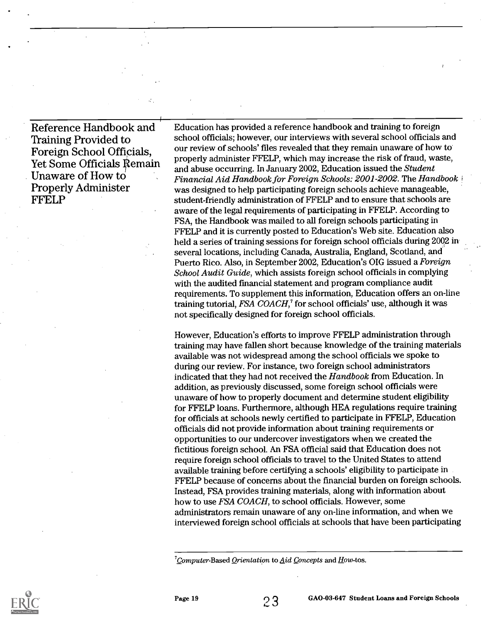Reference Handbook and **Training Provided to** Foreign School Officials, Yet Some Officials Remain Unaware of How to Properly Administer FFELP

Education has provided a reference handbook and training to foreign school officials; however, our interviews with several school officials and our review of schools' ffies revealed that they remain unaware of how to properly administer FFELP, which may increase the risk of fraud, waste, and abuse occurring. In January 2002, Education issued the Student Financial Aid Handbook for Foreign Schools:  $2001$ - $2002$ . The Handbook  $\frac{1}{2}$ was designed to help participating foreign schools achieve manageable, student-friendly administration of FFELP and to ensure that schools are aware of the legal requirements of participating in FFELP. According to FSA, the Handbook was mailed to all foreign schools participating in FFELP and it is currently posted to Education's Web site. Education also held a series of training sessions for foreign school officials during 2002 in several locations, including Canada, Australia, England, Scotland, and Puerto Rico. Also, in September 2002, Education's OIG issued a Foreign School Audit Guide, which assists foreign school officials in complying with the audited financial statement and program compliance audit requirements. To supplement this information, Education offers an on-line training tutorial, FSA COACH,' for school officials' use, although it was not specifically designed for foreign school officials.

However, Education's efforts to improve FFELP administration through training may have fallen short because knowledge of the training materials available was not widespread among the school officials we spoke to during our review. For instance, two foreign school administrators indicated that they had not received the Handbook from Education. In addition, as previously discussed, some foreign school officials were unaware of how to properly document and determine student eligibility for FFELP loans. Furthermore, although HEA regulations require training for officials at schools newly certified to participate in FFELP, Education officials did not provide information about training requirements or opportunities to our undercover investigators when we created the fictitious foreign school. An FSA official said that Education does not require foreign school officials to travel to the United States to attend available training before certifying a schools' eligibility to participate in FFELP because of concerns about the financial burden on foreign schools. Instead, FSA provides training materials, along with information about how to use FSA COACH, to school officials. However, some administrators remain unaware of any on-line information, and when we interviewed foreign school officials at schools that have been participating



 $^7$ Computer-Based Orientation to Aid Concepts and How-tos.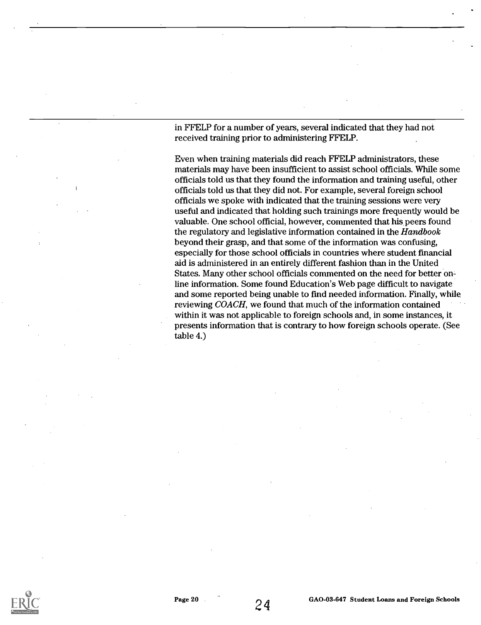in FFELP for a number of years, several indicated that they had not received training prior to administering FFELP.

Even when training materials did reach FFELP administrators, these materials may have been insufficient to assist school officials. While some officials told us that they found the information and training useful, other officials told us that they did not. For example, several foreign school officials we spoke with indicated that the training sessions were very useful and indicated that holding such trainings more frequently would be valuable. One school official, however, commented that his peers found the regulatory and legislative information contained in the Handbook beyond their grasp, and that some of the information was confusing, especially for those school officials in countries where student financial aid is administered in an entirely different fashion than in the United States. Many other school officials commented on the need for better online information. Some found Education's Web page difficult to navigate and some reported being unable to fmd needed information. Finally, while reviewing COACH, we found that much of the information contained within it was not applicable to foreign schools and, in some instances, it presents information that is contrary to how foreign schools operate. (See table 4.)

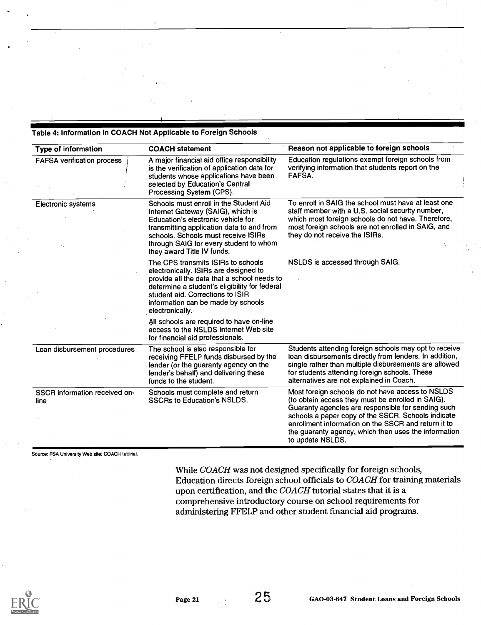#### Table 4: Information in COACH Not Applicable to Foreign Schools

| <b>Type of information</b>            | <b>COACH statement</b>                                                                                                                                                                                                                                                        | Reason not applicable to foreign schools                                                                                                                                                                                                                                                                                                             |
|---------------------------------------|-------------------------------------------------------------------------------------------------------------------------------------------------------------------------------------------------------------------------------------------------------------------------------|------------------------------------------------------------------------------------------------------------------------------------------------------------------------------------------------------------------------------------------------------------------------------------------------------------------------------------------------------|
| <b>FAFSA verification process</b>     | A major financial aid office responsibility<br>is the verification of application data for<br>students whose applications have been<br>selected by Education's Central<br>Processing System (CPS).                                                                            | Education regulations exempt foreign schools from<br>verifying information that students report on the<br>FAFSA.                                                                                                                                                                                                                                     |
| <b>Electronic systems</b>             | Schools must enroll in the Student Aid<br>Internet Gateway (SAIG), which is<br>Education's electronic vehicle for<br>transmitting application data to and from<br>schools. Schools must receive ISIRs<br>through SAIG for every student to whom<br>they award Title IV funds. | To enroll in SAIG the school must have at least one<br>staff member with a U.S. social security number,<br>which most foreign schools do not have. Therefore,<br>most foreign schools are not enrolled in SAIG, and<br>they do not receive the ISIRs.                                                                                                |
|                                       | The CPS transmits ISIRs to schools<br>electronically. ISIRs are designed to<br>provide all the data that a school needs to<br>determine a student's eligibility for federal<br>student aid. Corrections to ISIR<br>information can be made by schools<br>electronically.      | NSLDS is accessed through SAIG.                                                                                                                                                                                                                                                                                                                      |
|                                       | All schools are required to have on-line<br>access to the NSLDS Internet Web site<br>for financial aid professionals.                                                                                                                                                         |                                                                                                                                                                                                                                                                                                                                                      |
| Loan disbursement procedures          | The school is also responsible for<br>receiving FFELP funds disbursed by the<br>lender (or the guaranty agency on the<br>lender's behalf) and delivering these<br>funds to the student.                                                                                       | Students attending foreign schools may opt to receive<br>loan disbursements directly from lenders. In addition,<br>single rather than multiple disbursements are allowed<br>for students attending foreign schools. These<br>alternatives are not explained in Coach.                                                                                |
| SSCR information received on-<br>line | Schools must complete and return<br><b>SSCRs to Education's NSLDS.</b>                                                                                                                                                                                                        | Most foreign schools do not have access to NSLDS<br>(to obtain access they must be enrolled in SAIG).<br>Guaranty agencies are responsible for sending such<br>schools a paper copy of the SSCR. Schools indicate<br>enrollment information on the SSCR and return it to<br>the guaranty agency, which then uses the information<br>to update NSLDS. |

Source: FSA University Web site; COACH tutorial.

While COACH was not designed specifically for foreign schools, Education directs foreign school officials to COACH for training materials upon certification, and the COACH tutorial states that it is a comprehensive introductory course on school requirements for administering FFELP and other student fmancial aid programs.

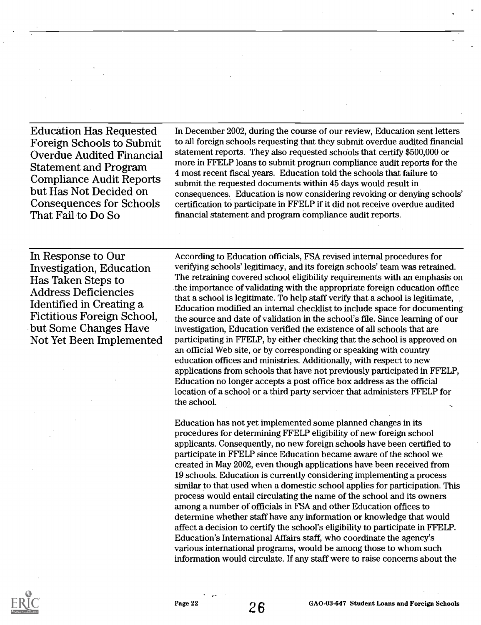Education Has Requested Foreign Schools to Submit Overdue Audited Financial Statement and Program Compliance Audit Reports but Has Not Decided on Consequences for Schools That Fail to Do So

In December 2002, during the course of our review, Education sent letters to all foreign schools requesting that they submit overdue audited financial statement reports. They also requested schools that certify \$500,000 or more in FFELP loans to submit program compliance audit reports for the 4 most recent fiscal years. Education told the schools that failure to submit the requested documents within 45 days would result in consequences. Education is now considering revoking or denying schools' certification to participate in FFELP if it did not receive overdue audited fmancial statement and program compliance audit reports.

In Response to Our Investigation, Education Has Taken Steps to Address Deficiencies Identified in Creating a Fictitious Foreign School, but Some Changes Have Not Yet Been Implemented

According to Education officials, FSA revised internal procedures for verifying schools' legitimacy, and its foreign schools' team was retrained. The retraining covered school eligibility requirements with an emphasis on the importance of validating with the appropriate foreign education office that a school is legitimate. To help staff verify that a school is legitimate, Education modified an internal checklist to include space for documenting the source and date of validation in the school's file. Since learning of our investigation, Education verified the existence of all schools that are participating in FFELP, by either checking that the school is approved on an official Web site, or by corresponding or speaking with country education offices and ministries. Additionally, with respect to new applications from schools that have not previously participated in FFELP, Education no longer accepts a post office box address as the official location of a school or a third party servicer that administers FFELP for the school.

Education has not yet implemented some planned changes in its procedures for determining FFELP eligibility of new foreign school applicants. Consequently, no new foreign schools have been certified to participate in FFELP since Education became aware of the school we created in May 2002, even though applications have been received from 19 schools. Education is currently considering implementing a process similar to that used when a domestic school applies for participation. This process would entail circulating the name of the school and its owners among a number of officials in FSA and other Education offices to determine whether staff have any information or knowledge that would affect a decision to certify the school's eligibility to participate in FFELP. Education's International Affairs staff, who coordinate the agency's various international programs, would be among those to whom such information would circulate. If any staff were to raise concerns about the

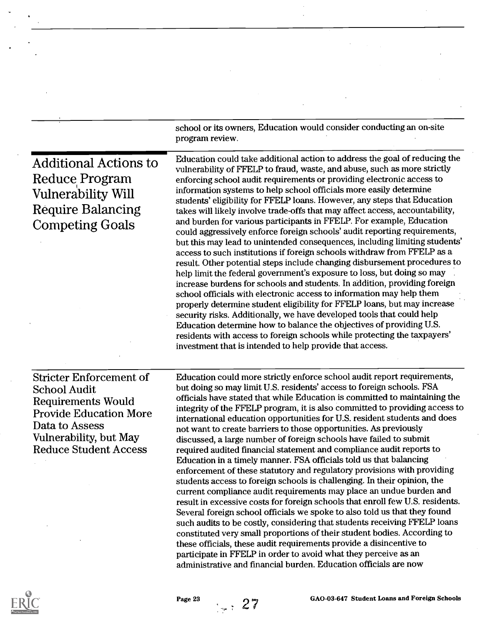|                                                                                                                                                                                                 | school or its owners, Education would consider conducting an on-site<br>program review.                                                                                                                                                                                                                                                                                                                                                                                                                                                                                                                                                                                                                                                                                                                                                                                                                                                                                                                                                                                                                                                                                                                                                                                                                                                                                                                                                                         |  |  |
|-------------------------------------------------------------------------------------------------------------------------------------------------------------------------------------------------|-----------------------------------------------------------------------------------------------------------------------------------------------------------------------------------------------------------------------------------------------------------------------------------------------------------------------------------------------------------------------------------------------------------------------------------------------------------------------------------------------------------------------------------------------------------------------------------------------------------------------------------------------------------------------------------------------------------------------------------------------------------------------------------------------------------------------------------------------------------------------------------------------------------------------------------------------------------------------------------------------------------------------------------------------------------------------------------------------------------------------------------------------------------------------------------------------------------------------------------------------------------------------------------------------------------------------------------------------------------------------------------------------------------------------------------------------------------------|--|--|
| <b>Additional Actions to</b><br><b>Reduce Program</b><br><b>Vulnerability Will</b><br><b>Require Balancing</b><br><b>Competing Goals</b>                                                        | Education could take additional action to address the goal of reducing the<br>vulnerability of FFELP to fraud, waste, and abuse, such as more strictly<br>enforcing school audit requirements or providing electronic access to<br>information systems to help school officials more easily determine<br>students' eligibility for FFELP loans. However, any steps that Education<br>takes will likely involve trade-offs that may affect access, accountability,<br>and burden for various participants in FFELP. For example, Education<br>could aggressively enforce foreign schools' audit reporting requirements,<br>but this may lead to unintended consequences, including limiting students'<br>access to such institutions if foreign schools withdraw from FFELP as a<br>result. Other potential steps include changing disbursement procedures to<br>help limit the federal government's exposure to loss, but doing so may<br>increase burdens for schools and students. In addition, providing foreign<br>school officials with electronic access to information may help them<br>properly determine student eligibility for FFELP loans, but may increase<br>security risks. Additionally, we have developed tools that could help<br>Education determine how to balance the objectives of providing U.S.<br>residents with access to foreign schools while protecting the taxpayers'<br>investment that is intended to help provide that access. |  |  |
| <b>Stricter Enforcement of</b><br><b>School Audit</b><br><b>Requirements Would</b><br><b>Provide Education More</b><br>Data to Assess<br>Vulnerability, but May<br><b>Reduce Student Access</b> | Education could more strictly enforce school audit report requirements,<br>but doing so may limit U.S. residents' access to foreign schools. FSA<br>officials have stated that while Education is committed to maintaining the<br>integrity of the FFELP program, it is also committed to providing access to<br>international education opportunities for U.S. resident students and does<br>not want to create barriers to those opportunities. As previously<br>discussed, a large number of foreign schools have failed to submit<br>required audited financial statement and compliance audit reports to<br>Education in a timely manner. FSA officials told us that balancing<br>enforcement of these statutory and regulatory provisions with providing<br>students access to foreign schools is challenging. In their opinion, the<br>current compliance audit requirements may place an undue burden and<br>result in excessive costs for foreign schools that enroll few U.S. residents.<br>Several foreign school officials we spoke to also told us that they found<br>such audits to be costly, considering that students receiving FFELP loans<br>constituted very small proportions of their student bodies. According to<br>these officials, these audit requirements provide a disincentive to<br>participate in FFELP in order to avoid what they perceive as an<br>administrative and financial burden. Education officials are now          |  |  |



 $\bar{\beta}$ 

 $\ddot{\phantom{0}}$ 

 $\ddot{\phantom{0}}$ 

Page 23 27 GAO-03-647 Student Loans and Foreign Schools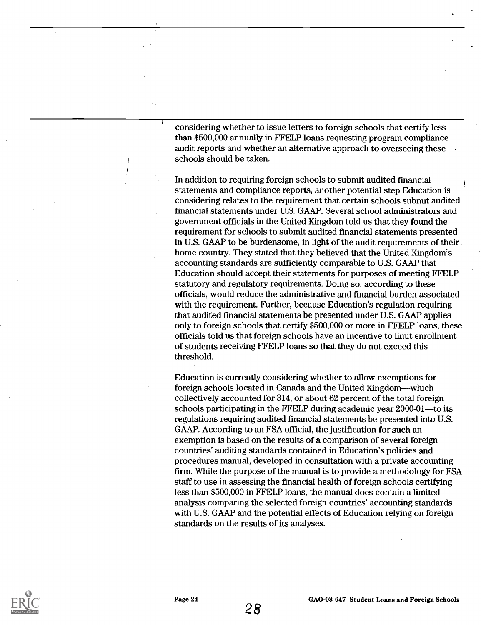considering whether to issue letters to foreign schools that certify less than \$500,000 annually in FFELP loans requesting program compliance audit reports and whether an alternative approach to overseeing these schools should be taken.

In addition to requiring foreign schools to submit audited financial statements and compliance reports, another potential step Education is considering relates to the requirement that certain schools submit audited fmancial statements under U.S. GAAP. Several school administrators and government officials in the United Kingdom told us that they found the requirement for schools to submit audited financial statements presented in U.S. GAAP to be burdensome, in light of the audit requirements of their home country. They stated that they believed that the United Kingdom's accounting standards are sufficiently comparable to U.S. GAAP that Education should accept their statements for purposes of meeting FFELP statutory and regulatory requirements. Doing so, according to these officials, would reduce the administrative and financial burden associated with the requirement. Further, because Education's regulation requiring that audited financial statements be presented under U.S. GAAP applies only to foreign schools that certify \$500,000 or more in FFELP loans, these officials told us that foreign schools have an incentive to limit enrollment of students receiving FFELP loans so that they do not exceed this threshold.

Education is currently considering whether to allow exemptions for foreign schools located in Canada and the United Kingdom—which collectively accounted for 314, or about 62 percent of the total foreign schools participating in the FFELP during academic year 2000-01--- to its regulations requiring audited financial statements be presented into U.S. GAAP. According to an FSA official, the justification for such an exemption is based on the results of a comparison of several foreign countries' auditing standards contained in Education's policies and procedures manual, developed in consultation with a private accounting firm. While the purpose of the manual is to provide a methodology for FSA staff to use in assessing the financial health of foreign schools certifying less than \$500,000 in FFELP loans, the manual does contain a limited analysis comparing the selected foreign countries' accounting standards with U.S. GAAP and the potential effects of Education relying on foreign standards on the results of its analyses.



28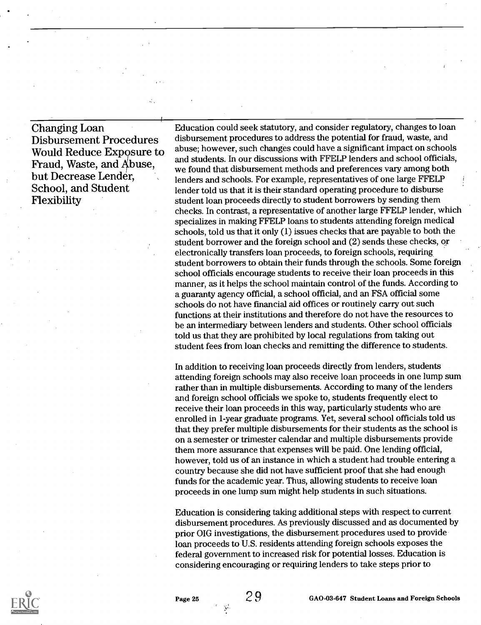Changing Loan Disbursement Procedures Would Reduce Exposure to Fraud, Waste, and Abuse. but Decrease Lender, School, and Student Flexibility

Education could seek statutory, and consider regulatory, changes to loan disbursement procedures to address the potential for fraud, waste, and abuse; however, such changes could have a significant impact on schools and students. In our discussions with FFELP lenders and school officials, we found that disbursement methods and preferences vary among both lenders and schools. For example, representatives of one large FFELP lender told us that it is their standard operating procedure to disburse student loan proceeds directly to student borrowers by sending them checks. In contrast, a representative of another large FFELP lender, which specializes in making FFELP loans to students attending foreign medical schools, told us that it only (1) issues checks that are payable to both the student borrower and the foreign school and (2) sends these checks, or electronically transfers loan proceeds, to foreign schools, requiring student borrowers to obtain their funds through the schools. Some foreign school officials encourage students to receive their loan proceeds in this manner, as it helps the school maintain control of the funds. According to a guaranty agency official, a school official, and an FSA official some schools do not have fmancial aid offices or routinely carry out such functions at their institutions and therefore do not have the resources to be an intermediary between lenders and students. Other school officials told us that they are prohibited by local regulations from taking out student fees from loan checks and remitting the difference to students.

In addition to receiving loan proceeds directly from lenders, students attending foreign schools may also receive loan proceeds in one lump sum rather than in multiple disbursements. According to many of the lenders and foreign school officials we spoke to, students frequently elect to receive their loan proceeds in this way, particularly students who are enrolled in 1-year graduate programs. Yet, several school officials told us that they prefer multiple disbursements for their students as the school is on a semester or trimester calendar and multiple disbursements provide them more assurance that expenses will be paid. One lending official, however, told us of an instance in which a student had trouble entering a country because she did not have sufficient proof that she had enough funds for the academic year. Thus, allowing students to receive loan proceeds in one lump sum might help students in such situations.

Education is considering taking additional steps with respect to current disbursement procedures. As previously discussed and as documented by prior OIG investigations, the disbursement procedures used to provide loan proceeds to U.S. residents attending foreign schools exposes the federal government to increased risk for potential losses. Education is considering encouraging or requiring lenders to take steps prior to

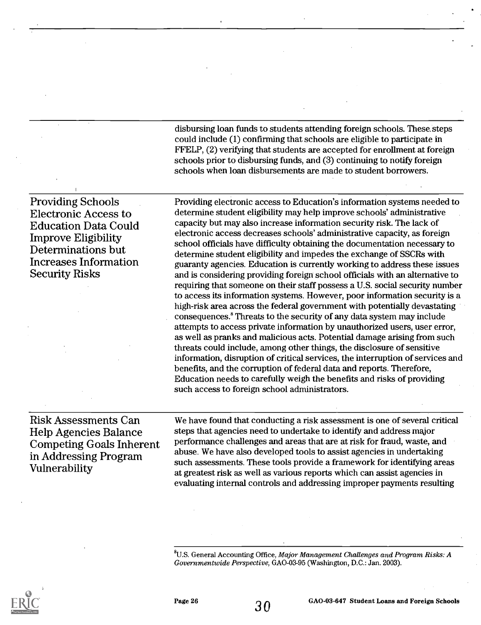disbursing loan funds to students attending foreign schools. These.steps could include (1) confirming that schools are eligible to participate in FFELP, (2) verifying that students are accepted for enrollment at foreign schools prior to disbursing funds, and (3) continuing to notify foreign schools when loan disbursements are made to student borrowers.

Providing Schools Electronic Access to Education Data Could Improve Eligibility Determinations but Increases Information Security Risks

Providing electronic access to Education's information systems needed to determine student eligibility may help improve schools' administrative capacity but may also increase information security risk. The lack of electronic access decreases schools' administrative capacity, as foreign school officials have difficulty obtaining the documentation necessary to determine student eligibility and impedes the exchange of SSCRs with guaranty agencies. Education is currently working to address these issues and is considering providing foreign school officials with an alternative to requiring that someone on their staff possess a U.S. social security number to access its information systems. However, poor information security is a high-risk area across the federal government with potentially devastating consequences.' Threats to the security of any data system may include attempts to access private information by unauthorized users, user error, as well as pranks and malicious acts. Potential damage arising from such threats could include, among other things, the disclosure of sensitive information, disruption of critical services, the interruption of services and benefits, and the corruption of federal data and reports. Therefore, Education needs to carefully weigh the benefits and risks of providing such access to foreign school administrators.

Risk Assessments Can Help Agencies Balance Competing Goals Inherent in Addressing Program Vulnerability

We have found that conducting a risk assessment is one of several critical steps that agencies need to undertake to identify and address major performance challenges and areas that are at risk for fraud, waste, and abuse. We have also developed tools to assist agencies in undertaking such assessments. These tools provide a framework for identifying areas at greatest risk as well as various reports which can assist agencies in evaluating internal controls and addressing improper payments resulting

 ${}^{8}$ U.S. General Accounting Office, *Major Management Challenges and Program Risks: A* Governmentwide Perspective, GAO-03-95 (Washington, D.C.: Jan. 2003).

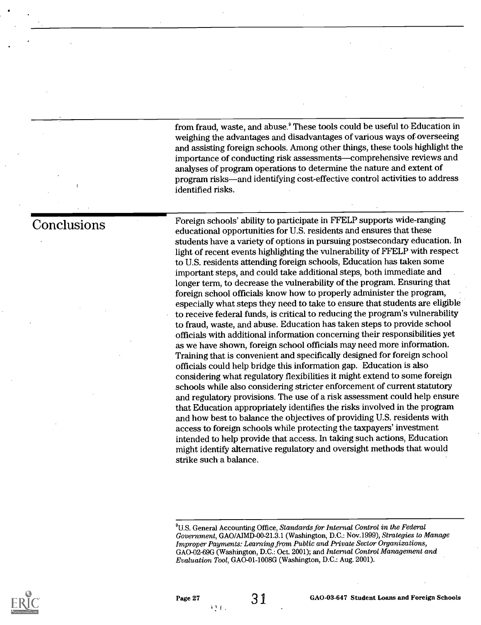from fraud, waste, and abuse.' These tools could be useful to Education in weighing the advantages and disadvantages of various ways of overseeing and assisting foreign schools. Among other things, these tools highlight the importance of conducting risk assessments—comprehensive reviews and analyses of program operations to determine the nature and extent of program risks—and identifying cost-effective control activities to address identified risks.

Foreign schools' ability to participate in FFELP supports wide-ranging educational opportunities for U.S. residents and ensures that these students have a variety of options in pursuing postsecondary education. In light of recent events highlighting the vulnerability of FFELP with respect to U.S. residents attending foreign schools, Education has taken some important steps, and could take additional steps, both immediate and longer term, to decrease the vulnerability of the program. Ensuring that foreign school officials know how to properly administer the program, especially what steps they need to take to ensure that students are eligible to receive federal funds, is critical to reducing the program's vulnerability to fraud, waste, and abuse. Education has taken steps to provide school officials with additional information concerning their responsibilities yet as we have shown, foreign school officials may need more information. Training that is convenient and specifically designed for foreign school officials could help bridge this information gap. Education is also considering what regulatory flexibilities it might extend to some foreign schools while also considering stricter enforcement of current statutory and regulatory provisions. The use of a risk assessment could help ensure that Education appropriately identifies the risks involved in the program and how best to balance the objectives of providing U.S. residents with access to foreign schools while protecting the taxpayers' investment intended to help provide that access. In taking such actions, Education might identify alternative regulatory and oversight methods that would strike such a balance.



Conclusions

 $^{9}$ U.S. General Accounting Office, Standards for Internal Control in the Federal Government, GAO/A1MD-00-21.3.1 (Washington, D.C.: Nov.1999), Strategies to Manage Improper Payments: Learning from Public and Private Sector Organizations, GAO-02-69G (Washington, D.C.: Oct. 2001); and Internal Control Management and Evaluation Tool, GAO-01-1008G (Washington, D.C.: Aug. 2001).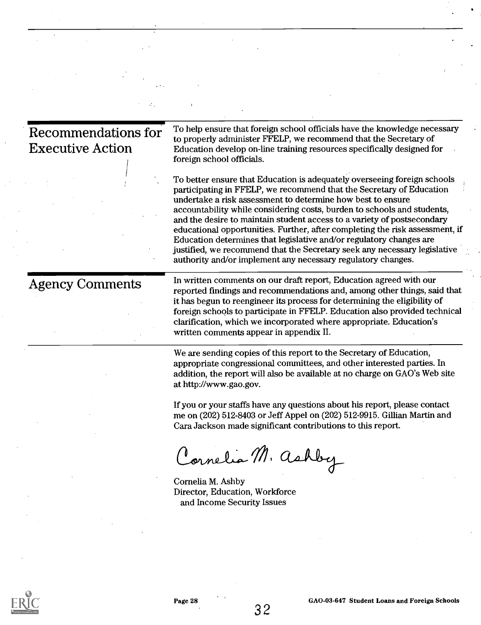| to properly administer FFELP, we recommend that the Secretary of<br>Education develop on-line training resources specifically designed for<br>foreign school officials.<br>To better ensure that Education is adequately overseeing foreign schools<br>participating in FFELP, we recommend that the Secretary of Education<br>undertake a risk assessment to determine how best to ensure<br>accountability while considering costs, burden to schools and students,<br>and the desire to maintain student access to a variety of postsecondary<br>Education determines that legislative and/or regulatory changes are<br>justified, we recommend that the Secretary seek any necessary legislative<br>authority and/or implement any necessary regulatory changes.<br>In written comments on our draft report, Education agreed with our<br>it has begun to reengineer its process for determining the eligibility of<br>clarification, which we incorporated where appropriate. Education's<br>written comments appear in appendix II.<br>We are sending copies of this report to the Secretary of Education,<br>appropriate congressional committees, and other interested parties. In<br>addition, the report will also be available at no charge on GAO's Web site<br>at http://www.gao.gov.<br>If you or your staffs have any questions about his report, please contact<br>me on (202) 512-8403 or Jeff Appel on (202) 512-9915. Gillian Martin and<br>Cara Jackson made significant contributions to this report.<br>Cornelia M. ashby<br>Cornelia M. Ashby<br>Director, Education, Workforce<br>and Income Security Issues |                                                |                                                                                                                                                        |
|--------------------------------------------------------------------------------------------------------------------------------------------------------------------------------------------------------------------------------------------------------------------------------------------------------------------------------------------------------------------------------------------------------------------------------------------------------------------------------------------------------------------------------------------------------------------------------------------------------------------------------------------------------------------------------------------------------------------------------------------------------------------------------------------------------------------------------------------------------------------------------------------------------------------------------------------------------------------------------------------------------------------------------------------------------------------------------------------------------------------------------------------------------------------------------------------------------------------------------------------------------------------------------------------------------------------------------------------------------------------------------------------------------------------------------------------------------------------------------------------------------------------------------------------------------------------------------------------------------------------------------------|------------------------------------------------|--------------------------------------------------------------------------------------------------------------------------------------------------------|
|                                                                                                                                                                                                                                                                                                                                                                                                                                                                                                                                                                                                                                                                                                                                                                                                                                                                                                                                                                                                                                                                                                                                                                                                                                                                                                                                                                                                                                                                                                                                                                                                                                      | Recommendations for<br><b>Executive Action</b> | To help ensure that foreign school officials have the knowledge necessary                                                                              |
|                                                                                                                                                                                                                                                                                                                                                                                                                                                                                                                                                                                                                                                                                                                                                                                                                                                                                                                                                                                                                                                                                                                                                                                                                                                                                                                                                                                                                                                                                                                                                                                                                                      |                                                | educational opportunities. Further, after completing the risk assessment, if                                                                           |
|                                                                                                                                                                                                                                                                                                                                                                                                                                                                                                                                                                                                                                                                                                                                                                                                                                                                                                                                                                                                                                                                                                                                                                                                                                                                                                                                                                                                                                                                                                                                                                                                                                      | <b>Agency Comments</b>                         | reported findings and recommendations and, among other things, said that<br>foreign schools to participate in FFELP. Education also provided technical |
|                                                                                                                                                                                                                                                                                                                                                                                                                                                                                                                                                                                                                                                                                                                                                                                                                                                                                                                                                                                                                                                                                                                                                                                                                                                                                                                                                                                                                                                                                                                                                                                                                                      |                                                |                                                                                                                                                        |
|                                                                                                                                                                                                                                                                                                                                                                                                                                                                                                                                                                                                                                                                                                                                                                                                                                                                                                                                                                                                                                                                                                                                                                                                                                                                                                                                                                                                                                                                                                                                                                                                                                      |                                                |                                                                                                                                                        |
|                                                                                                                                                                                                                                                                                                                                                                                                                                                                                                                                                                                                                                                                                                                                                                                                                                                                                                                                                                                                                                                                                                                                                                                                                                                                                                                                                                                                                                                                                                                                                                                                                                      |                                                |                                                                                                                                                        |
|                                                                                                                                                                                                                                                                                                                                                                                                                                                                                                                                                                                                                                                                                                                                                                                                                                                                                                                                                                                                                                                                                                                                                                                                                                                                                                                                                                                                                                                                                                                                                                                                                                      |                                                |                                                                                                                                                        |
|                                                                                                                                                                                                                                                                                                                                                                                                                                                                                                                                                                                                                                                                                                                                                                                                                                                                                                                                                                                                                                                                                                                                                                                                                                                                                                                                                                                                                                                                                                                                                                                                                                      |                                                |                                                                                                                                                        |



 $\ddot{\phantom{a}}$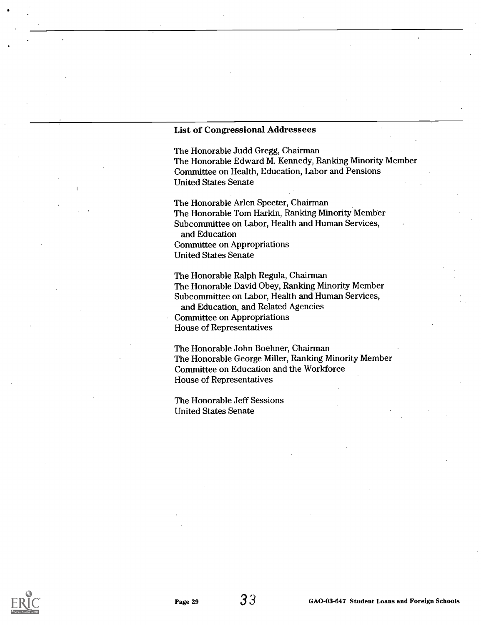#### List of Congressional Addressees

The Honorable Judd Gregg, Chairman The Honorable Edward M. Kennedy, Ranking Minority Member Committee on Health, Education, Labor and Pensions United States Senate

The Honorable Arlen Specter, Chairman The Honorable Tom Harkin, Ranking Minority Member Subcommittee on Labor, Health and Human Services, and Education Committee on Appropriations United States Senate

The Honorable Ralph Regula, Chairman The Honorable David Obey, Ranking Minority Member Subcommittee on Labor, Health and Human Services, and Education, and Related Agencies Committee on Appropriations House of Representatives

The Honorable John Boehner, Chairman The Honorable George Miller, Ranking Minority Member Committee on Education and the Workforce House of Representatives

The Honorable Jeff Sessions United States Senate

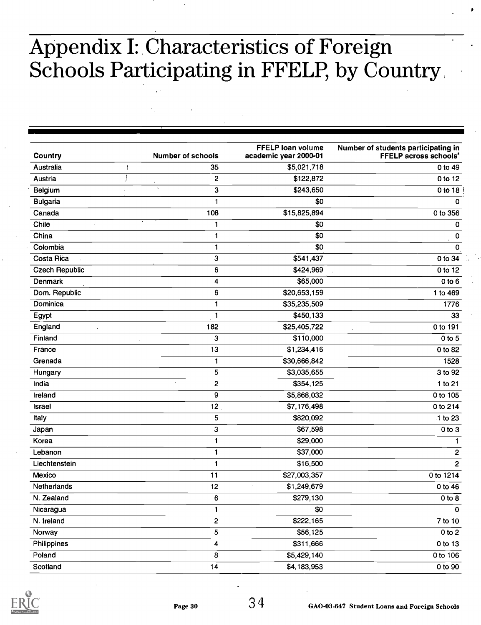## Appendix I: Characteristics of Foreign Schools Participating in FFELP, by Country

 $\mathcal{L}^{\mathcal{C}}$ 

| Country               | <b>Number of schools</b>                               | <b>FFELP loan volume</b><br>academic year 2000-01 | Number of students participating in<br><b>FFELP across schools</b> <sup>*</sup> |
|-----------------------|--------------------------------------------------------|---------------------------------------------------|---------------------------------------------------------------------------------|
| Australia             | 35                                                     | \$5,021,718                                       | 0 to 49                                                                         |
| Austria               | 2                                                      | \$122,872                                         | $0$ to 12                                                                       |
| Belgium               | $\epsilon_{\rm s}$<br>3                                | \$243,650                                         | 0 to 18                                                                         |
| Bulgaria              | 1                                                      | \$0                                               | 0                                                                               |
| Canada                | 108                                                    | \$15,825,894                                      | 0 to 356                                                                        |
| Chile                 | $\mathbf{1}$                                           | \$0                                               | 0                                                                               |
| China                 | 1                                                      | \$0                                               | 0                                                                               |
| Colombia              | $\mathbf{1}$                                           | \$0<br>à.                                         | 0                                                                               |
| <b>Costa Rica</b>     | 3                                                      | \$541,437                                         | 0 to 34                                                                         |
| <b>Czech Republic</b> | 6                                                      | \$424,969                                         | 0 to 12                                                                         |
| Denmark               | 4                                                      | \$65,000                                          | $0$ to $6$                                                                      |
| Dom. Republic         | 6                                                      | \$20,653,159                                      | 1 to 469                                                                        |
| Dominica              | 1                                                      | \$35,235,509                                      | 1776                                                                            |
| Egypt                 | 1                                                      | \$450,133                                         | 33                                                                              |
| England               | 182                                                    | \$25,405,722                                      | 0 to 191                                                                        |
| Finland               | 3                                                      | \$110,000                                         | $0$ to $5$                                                                      |
| France                | 13                                                     | \$1,234,416                                       | 0 to 82                                                                         |
| Grenada               | $\mathbf{1}$                                           | \$30,666,842                                      | 1528                                                                            |
| Hungary               | 5                                                      | \$3,035,655                                       | 3 to 92                                                                         |
| India                 | $\overline{\mathbf{c}}$<br>$\mathcal{L}_{\mathcal{A}}$ | \$354,125                                         | 1 to 21                                                                         |
| Ireland               | $\overline{9}$                                         | \$5,868,032                                       | 0 to 105                                                                        |
| <b>Israel</b>         | 12                                                     | \$7,176,498                                       | 0 to 214                                                                        |
| Italy                 | 5                                                      | \$820,092                                         | 1 to 23                                                                         |
| Japan                 | 3                                                      | \$67,598                                          | $0$ to $3$                                                                      |
| Korea                 | 1                                                      | \$29,000                                          |                                                                                 |
| Lebanon               | $\mathbf{1}$                                           | \$37,000                                          | 2                                                                               |
| Liechtenstein         | 1                                                      | \$16,500                                          | $\overline{\mathbf{c}}$                                                         |
| Mexico                | 11                                                     | \$27,003,357                                      | 0 to 1214                                                                       |
| Netherlands           | 12                                                     | \$1,249,679                                       | $0$ to 46                                                                       |
| N. Zealand            | 6                                                      | \$279,130                                         | $0$ to $8$                                                                      |
| Nicaragua             | 1                                                      | \$0                                               | $\mathbf 0$                                                                     |
| N. Ireland            | 2                                                      | \$222,165                                         | 7 to 10                                                                         |
| Norway                | 5                                                      | \$56,125                                          | 0 to 2                                                                          |
| Philippines           | 4                                                      | \$311,666                                         | 0 to 13                                                                         |
| Poland                | 8                                                      | \$5,429,140                                       | 0 to 106                                                                        |
| Scotland              | 14                                                     | \$4,183,953                                       | 0 to 90                                                                         |

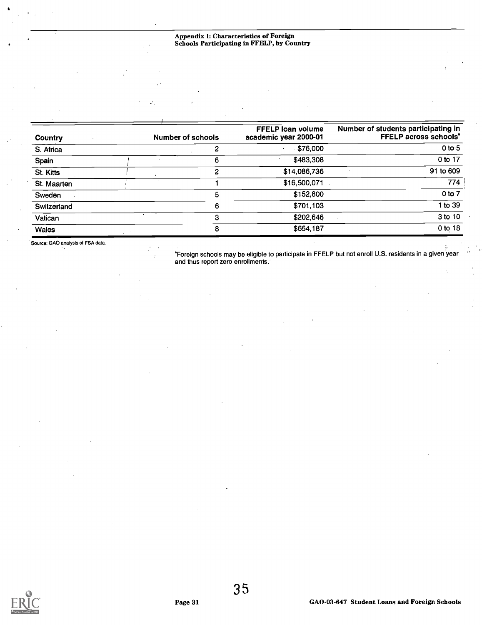#### Appendix I: Characteristics of Foreign Schools Participating in FFELP, by Country

| Country      |                             | <b>Number of schools</b> | <b>FFELP loan volume</b><br>academic year 2000-01 | Number of students participating in<br><b>FFELP across schools'</b> |
|--------------|-----------------------------|--------------------------|---------------------------------------------------|---------------------------------------------------------------------|
| S. Africa    |                             |                          | \$76,000                                          | 0 to $5$                                                            |
| Spain        |                             | 6                        | \$483,308                                         | 0 to 17                                                             |
| St. Kitts    |                             | 2                        | \$14,086,736                                      | 91 to 609                                                           |
| St. Maarten  | $\mathcal{L}_{\mathcal{A}}$ |                          | \$16,500,071                                      | 774                                                                 |
| Sweden       |                             | 5                        | \$152,800                                         | $0$ to $7$                                                          |
| Switzerland  |                             | 6                        | \$701,103                                         | 1 to 39                                                             |
| Vatican      |                             | 3                        | \$202,646                                         | 3 to 10                                                             |
| <b>Wales</b> |                             | 8                        | \$654,187                                         | 0 to 18                                                             |

Source: GAO analysis of FSA data.

°Foreign schools may be eligible to participate in FFELP but not enroll U.S. residents in a given year and thus report zero enrollments.



3 5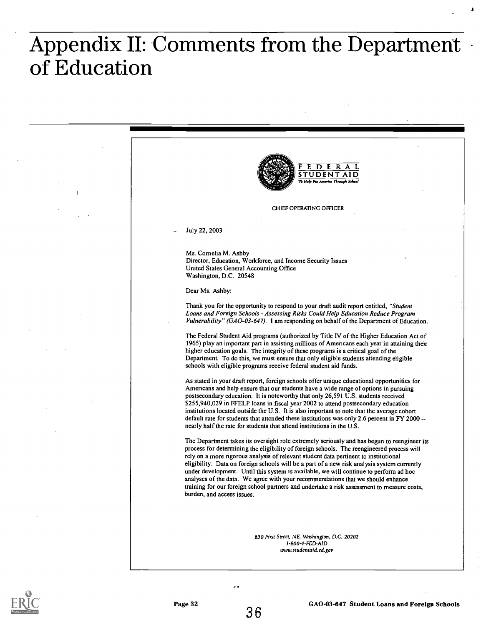# Appendix II: Comments from the Department of Education

| E<br>DERA<br><b>TUDENT AID</b><br>.<br>Wa Help Put America Through School                                                                                                                                                                                                                                                                                                                                                                                                                                                                                                                                                                                                               |
|-----------------------------------------------------------------------------------------------------------------------------------------------------------------------------------------------------------------------------------------------------------------------------------------------------------------------------------------------------------------------------------------------------------------------------------------------------------------------------------------------------------------------------------------------------------------------------------------------------------------------------------------------------------------------------------------|
| CHIEF OPERATING OFFICER                                                                                                                                                                                                                                                                                                                                                                                                                                                                                                                                                                                                                                                                 |
| July 22, 2003                                                                                                                                                                                                                                                                                                                                                                                                                                                                                                                                                                                                                                                                           |
| Ms. Cornelia M. Ashby<br>Director, Education, Workforce, and Income Security Issues<br>United States General Accounting Office<br>Washington, D.C. 20548                                                                                                                                                                                                                                                                                                                                                                                                                                                                                                                                |
| Dear Ms. Ashby:                                                                                                                                                                                                                                                                                                                                                                                                                                                                                                                                                                                                                                                                         |
| Thank you for the opportunity to respond to your draft audit report entitled, "Student"<br>Loans and Foreign Schools - Assessing Risks Could Help Education Reduce Program<br>Vulnerability" (GAO-03-647). I am responding on behalf of the Department of Education.                                                                                                                                                                                                                                                                                                                                                                                                                    |
| The Federal Student Aid programs (authorized by Title IV of the Higher Education Act of<br>1965) play an important part in assisting millions of Americans each year in attaining their<br>higher education goals. The integrity of these programs is a critical goal of the<br>Department. To do this, we must ensure that only eligible students attending eligible<br>schools with eligible programs receive federal student aid funds.                                                                                                                                                                                                                                              |
| As stated in your draft report, foreign schools offer unique educational opportunities for<br>Americans and help ensure that our students have a wide range of options in pursuing<br>postsecondary education. It is notcworthy that only 26,591 U.S. students received<br>\$255,940,029 in FFELP loans in fiscal year 2002 to attend postsecondary education<br>institutions located outside the U.S. It is also important to note that the average cohort<br>default rate for students that attended these institutions was only 2.6 percent in FY 2000 --<br>nearly half the rate for students that attend institutions in the U.S.                                                  |
| The Department takes its oversight role extremely seriously and has begun to reengineer its<br>process for determining the eligibility of foreign schools. The reengineered process will<br>rely on a more rigorous analysis of relevant student data pertinent to institutional<br>eligibility. Data on foreign schools will be a part of a new risk analysis system currently<br>under development. Until this system is available, we will continue to perform ad hoc<br>analyses of the data. We agree with your recommendations that we should enhance<br>training for our foreign school partners and undertake a risk assessment to measure costs,<br>burden, and access issues. |
|                                                                                                                                                                                                                                                                                                                                                                                                                                                                                                                                                                                                                                                                                         |
| 830 First Street, NE, Washington. D.C. 20202<br>1-800-4-FED-AID<br>www.studentaid.ed.gov                                                                                                                                                                                                                                                                                                                                                                                                                                                                                                                                                                                                |



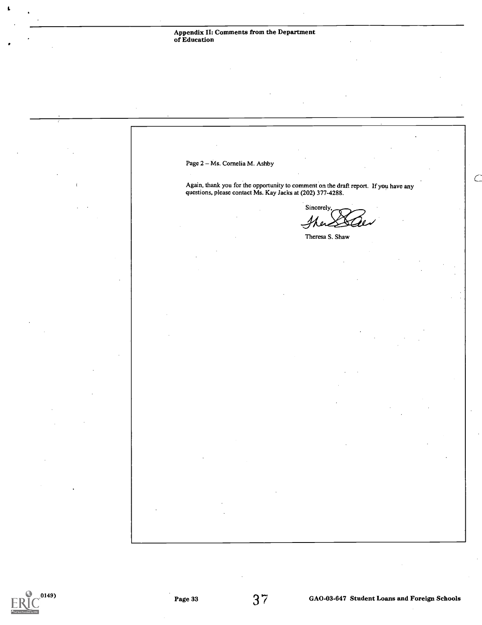Page 2 - Ms. Cornelia M. Ashby  $\subset$ Again, thank you for the opportunity to comment on the draft report. If you have any questions, please contact Ms. Kay Jacks at (202) 377-4288. Sincerely,  $80 - 1$ , 101' 10 .- Theresa S. Shaw

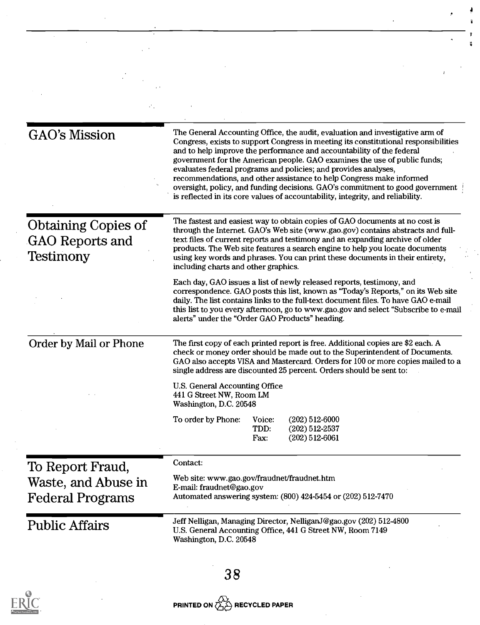| <b>GAO's Mission</b>                                              | The General Accounting Office, the audit, evaluation and investigative arm of<br>Congress, exists to support Congress in meeting its constitutional responsibilities<br>and to help improve the performance and accountability of the federal<br>government for the American people. GAO examines the use of public funds;<br>evaluates federal programs and policies; and provides analyses,<br>recommendations, and other assistance to help Congress make informed<br>oversight, policy, and funding decisions. GAO's commitment to good government<br>is reflected in its core values of accountability, integrity, and reliability. |  |  |  |
|-------------------------------------------------------------------|------------------------------------------------------------------------------------------------------------------------------------------------------------------------------------------------------------------------------------------------------------------------------------------------------------------------------------------------------------------------------------------------------------------------------------------------------------------------------------------------------------------------------------------------------------------------------------------------------------------------------------------|--|--|--|
| <b>Obtaining Copies of</b><br><b>GAO</b> Reports and<br>Testimony | The fastest and easiest way to obtain copies of GAO documents at no cost is<br>through the Internet. GAO's Web site (www.gao.gov) contains abstracts and full-<br>text files of current reports and testimony and an expanding archive of older<br>products. The Web site features a search engine to help you locate documents<br>using key words and phrases. You can print these documents in their entirety,<br>including charts and other graphics.                                                                                                                                                                                 |  |  |  |
|                                                                   | Each day, GAO issues a list of newly released reports, testimony, and<br>correspondence. GAO posts this list, known as "Today's Reports," on its Web site<br>daily. The list contains links to the full-text document files. To have GAO e-mail<br>this list to you every afternoon, go to www.gao.gov and select "Subscribe to e-mail<br>alerts" under the "Order GAO Products" heading.                                                                                                                                                                                                                                                |  |  |  |
| Order by Mail or Phone                                            | The first copy of each printed report is free. Additional copies are \$2 each. A<br>check or money order should be made out to the Superintendent of Documents.<br>GAO also accepts VISA and Mastercard. Orders for 100 or more copies mailed to a<br>single address are discounted 25 percent. Orders should be sent to:                                                                                                                                                                                                                                                                                                                |  |  |  |
|                                                                   | U.S. General Accounting Office<br>441 G Street NW, Room LM<br>Washington, D.C. 20548                                                                                                                                                                                                                                                                                                                                                                                                                                                                                                                                                     |  |  |  |
|                                                                   | To order by Phone:<br>Voice:<br>$(202)$ 512-6000<br>TDD:<br>$(202)$ 512-2537<br>$(202) 512 - 6061$<br>Fax:                                                                                                                                                                                                                                                                                                                                                                                                                                                                                                                               |  |  |  |
| To Report Fraud,                                                  | Contact:                                                                                                                                                                                                                                                                                                                                                                                                                                                                                                                                                                                                                                 |  |  |  |
| Waste, and Abuse in<br><b>Federal Programs</b>                    | Web site: www.gao.gov/fraudnet/fraudnet.htm<br>E-mail: fraudnet@gao.gov<br>Automated answering system: (800) 424-5454 or (202) 512-7470                                                                                                                                                                                                                                                                                                                                                                                                                                                                                                  |  |  |  |
| <b>Public Affairs</b>                                             | Jeff Nelligan, Managing Director, NelliganJ@gao.gov (202) 512-4800<br>U.S. General Accounting Office, 441 G Street NW, Room 7149<br>Washington, D.C. 20548                                                                                                                                                                                                                                                                                                                                                                                                                                                                               |  |  |  |
|                                                                   | 38                                                                                                                                                                                                                                                                                                                                                                                                                                                                                                                                                                                                                                       |  |  |  |

ŧ. p

ă

# $ERIC$

 $\mathcal{L}$